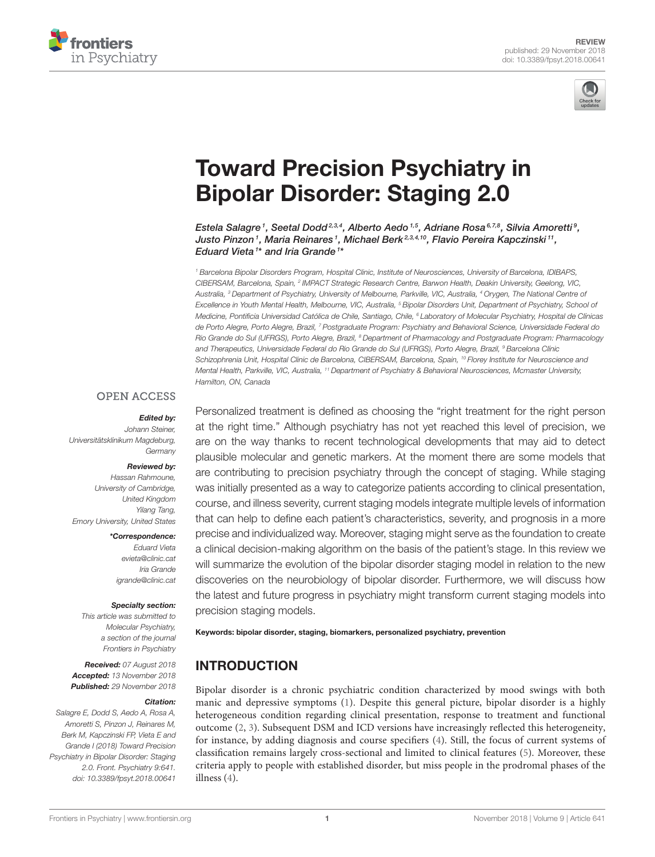



# Toward Precision Psychiatry in Bipolar Disorder: Staging 2.0

Estela Salagre <sup>1</sup>, Seetal Dodd<sup>2,3,4</sup>, Alberto Aedo <sup>1,5</sup>, Adriane Rosa <sup>6,7,8</sup>, Silvia Amoretti <sup>9</sup>, Justo Pinzon1, Maria Reinares1, Michael Berk<sup>2,3,4,10</sup>, Flavio Pereira Kapczinski11, Eduard Vieta<sup>1\*</sup> and Iria Grande<sup>1\*</sup>

<sup>1</sup> Barcelona Bipolar Disorders Program, Hospital Clinic, Institute of Neurosciences, University of Barcelona, IDIBAPS, CIBERSAM, Barcelona, Spain, <sup>2</sup> IMPACT Strategic Research Centre, Barwon Health, Deakin University, Geelong, VIC, Australia, <sup>3</sup> Department of Psychiatry, University of Melbourne, Parkville, VIC, Australia, <sup>4</sup> Orygen, The National Centre of Excellence in Youth Mental Health, Melbourne, VIC, Australia, <sup>5</sup> Bipolar Disorders Unit, Department of Psychiatry, School of Medicine, Pontificia Universidad Católica de Chile, Santiago, Chile, <sup>6</sup> Laboratory of Molecular Psychiatry, Hospital de Clínicas de Porto Alegre, Porto Alegre, Brazil, <sup>7</sup> Postgraduate Program: Psychiatry and Behavioral Science, Universidade Federal do Rio Grande do Sul (UFRGS), Porto Alegre, Brazil, <sup>8</sup> Department of Pharmacology and Postgraduate Program: Pharmacology and Therapeutics, Universidade Federal do Rio Grande do Sul (UFRGS), Porto Alegre, Brazil, <sup>9</sup> Barcelona Clínic Schizophrenia Unit, Hospital Clinic de Barcelona, CIBERSAM, Barcelona, Spain, <sup>10</sup> Florey Institute for Neuroscience and Mental Health, Parkville, VIC, Australia, <sup>11</sup> Department of Psychiatry & Behavioral Neurosciences, Mcmaster University, Hamilton, ON, Canada

### **OPEN ACCESS**

#### Edited by:

Johann Steiner, Universitätsklinikum Magdeburg, **Germany** 

#### Reviewed by:

Hassan Rahmoune, University of Cambridge, United Kingdom Yilang Tang, Emory University, United States

\*Correspondence:

Eduard Vieta evieta@clinic.cat Iria Grande igrande@clinic.cat

#### Specialty section:

This article was submitted to Molecular Psychiatry, a section of the journal Frontiers in Psychiatry

Received: 07 August 2018 Accepted: 13 November 2018 Published: 29 November 2018

#### Citation:

Salagre E, Dodd S, Aedo A, Rosa A, Amoretti S, Pinzon J, Reinares M, Berk M, Kapczinski FP, Vieta E and Grande I (2018) Toward Precision Psychiatry in Bipolar Disorder: Staging 2.0. Front. Psychiatry 9:641. doi: 10.3389/fpsyt.2018.00641

Personalized treatment is defined as choosing the "right treatment for the right person at the right time." Although psychiatry has not yet reached this level of precision, we are on the way thanks to recent technological developments that may aid to detect plausible molecular and genetic markers. At the moment there are some models that are contributing to precision psychiatry through the concept of staging. While staging was initially presented as a way to categorize patients according to clinical presentation, course, and illness severity, current staging models integrate multiple levels of information that can help to define each patient's characteristics, severity, and prognosis in a more precise and individualized way. Moreover, staging might serve as the foundation to create a clinical decision-making algorithm on the basis of the patient's stage. In this review we will summarize the evolution of the bipolar disorder staging model in relation to the new discoveries on the neurobiology of bipolar disorder. Furthermore, we will discuss how the latest and future progress in psychiatry might transform current staging models into precision staging models.

Keywords: bipolar disorder, staging, biomarkers, personalized psychiatry, prevention

# INTRODUCTION

Bipolar disorder is a chronic psychiatric condition characterized by mood swings with both manic and depressive symptoms (1). Despite this general picture, bipolar disorder is a highly heterogeneous condition regarding clinical presentation, response to treatment and functional outcome (2, 3). Subsequent DSM and ICD versions have increasingly reflected this heterogeneity, for instance, by adding diagnosis and course specifiers (4). Still, the focus of current systems of classification remains largely cross-sectional and limited to clinical features (5). Moreover, these criteria apply to people with established disorder, but miss people in the prodromal phases of the illness (4).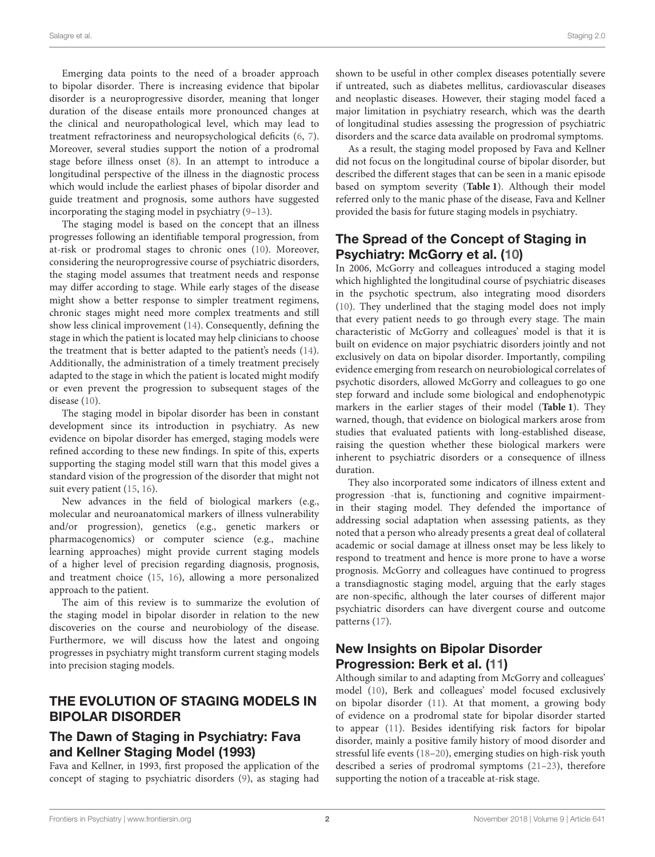Emerging data points to the need of a broader approach to bipolar disorder. There is increasing evidence that bipolar disorder is a neuroprogressive disorder, meaning that longer duration of the disease entails more pronounced changes at the clinical and neuropathological level, which may lead to treatment refractoriness and neuropsychological deficits (6, 7). Moreover, several studies support the notion of a prodromal stage before illness onset (8). In an attempt to introduce a longitudinal perspective of the illness in the diagnostic process which would include the earliest phases of bipolar disorder and guide treatment and prognosis, some authors have suggested incorporating the staging model in psychiatry (9–13).

The staging model is based on the concept that an illness progresses following an identifiable temporal progression, from at-risk or prodromal stages to chronic ones (10). Moreover, considering the neuroprogressive course of psychiatric disorders, the staging model assumes that treatment needs and response may differ according to stage. While early stages of the disease might show a better response to simpler treatment regimens, chronic stages might need more complex treatments and still show less clinical improvement (14). Consequently, defining the stage in which the patient is located may help clinicians to choose the treatment that is better adapted to the patient's needs (14). Additionally, the administration of a timely treatment precisely adapted to the stage in which the patient is located might modify or even prevent the progression to subsequent stages of the disease (10).

The staging model in bipolar disorder has been in constant development since its introduction in psychiatry. As new evidence on bipolar disorder has emerged, staging models were refined according to these new findings. In spite of this, experts supporting the staging model still warn that this model gives a standard vision of the progression of the disorder that might not suit every patient (15, 16).

New advances in the field of biological markers (e.g., molecular and neuroanatomical markers of illness vulnerability and/or progression), genetics (e.g., genetic markers or pharmacogenomics) or computer science (e.g., machine learning approaches) might provide current staging models of a higher level of precision regarding diagnosis, prognosis, and treatment choice (15, 16), allowing a more personalized approach to the patient.

The aim of this review is to summarize the evolution of the staging model in bipolar disorder in relation to the new discoveries on the course and neurobiology of the disease. Furthermore, we will discuss how the latest and ongoing progresses in psychiatry might transform current staging models into precision staging models.

# THE EVOLUTION OF STAGING MODELS IN BIPOLAR DISORDER

# The Dawn of Staging in Psychiatry: Fava and Kellner Staging Model (1993)

Fava and Kellner, in 1993, first proposed the application of the concept of staging to psychiatric disorders (9), as staging had shown to be useful in other complex diseases potentially severe if untreated, such as diabetes mellitus, cardiovascular diseases and neoplastic diseases. However, their staging model faced a major limitation in psychiatry research, which was the dearth of longitudinal studies assessing the progression of psychiatric disorders and the scarce data available on prodromal symptoms.

As a result, the staging model proposed by Fava and Kellner did not focus on the longitudinal course of bipolar disorder, but described the different stages that can be seen in a manic episode based on symptom severity (**Table 1**). Although their model referred only to the manic phase of the disease, Fava and Kellner provided the basis for future staging models in psychiatry.

# The Spread of the Concept of Staging in Psychiatry: McGorry et al. (10)

In 2006, McGorry and colleagues introduced a staging model which highlighted the longitudinal course of psychiatric diseases in the psychotic spectrum, also integrating mood disorders (10). They underlined that the staging model does not imply that every patient needs to go through every stage. The main characteristic of McGorry and colleagues' model is that it is built on evidence on major psychiatric disorders jointly and not exclusively on data on bipolar disorder. Importantly, compiling evidence emerging from research on neurobiological correlates of psychotic disorders, allowed McGorry and colleagues to go one step forward and include some biological and endophenotypic markers in the earlier stages of their model (**Table 1**). They warned, though, that evidence on biological markers arose from studies that evaluated patients with long-established disease, raising the question whether these biological markers were inherent to psychiatric disorders or a consequence of illness duration.

They also incorporated some indicators of illness extent and progression -that is, functioning and cognitive impairmentin their staging model. They defended the importance of addressing social adaptation when assessing patients, as they noted that a person who already presents a great deal of collateral academic or social damage at illness onset may be less likely to respond to treatment and hence is more prone to have a worse prognosis. McGorry and colleagues have continued to progress a transdiagnostic staging model, arguing that the early stages are non-specific, although the later courses of different major psychiatric disorders can have divergent course and outcome patterns (17).

# New Insights on Bipolar Disorder Progression: Berk et al. (11)

Although similar to and adapting from McGorry and colleagues' model (10), Berk and colleagues' model focused exclusively on bipolar disorder (11). At that moment, a growing body of evidence on a prodromal state for bipolar disorder started to appear (11). Besides identifying risk factors for bipolar disorder, mainly a positive family history of mood disorder and stressful life events (18–20), emerging studies on high-risk youth described a series of prodromal symptoms (21–23), therefore supporting the notion of a traceable at-risk stage.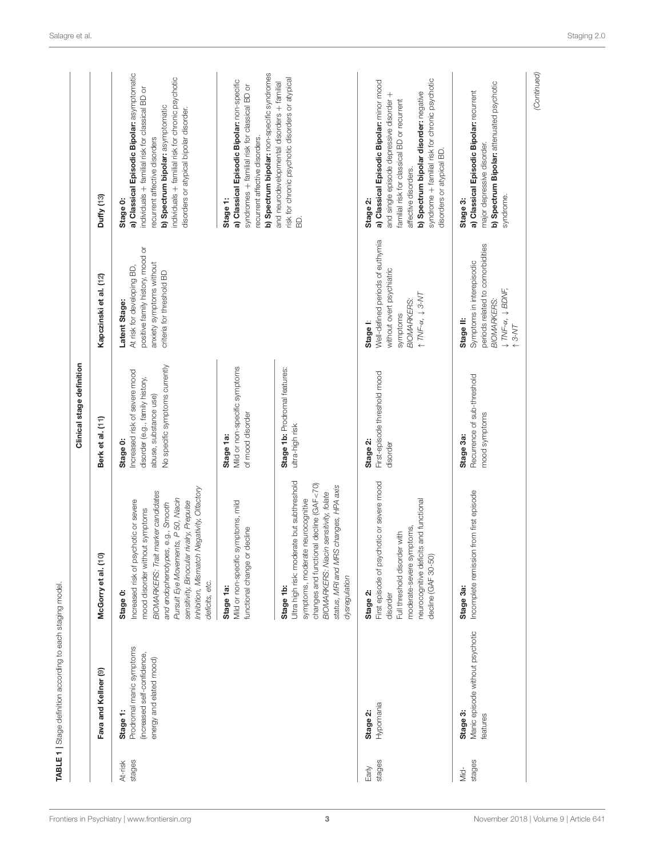|                   | Fava and Kellner (9)                                                                           | McGorry et al. (10)                                                                                                                                                                                                                                                                                                  | Clinical stage definition<br>Berk et al. (11)                                                                                           | Kapczinski et al. (12)                                                                                                                                                 | Duffy (13)                                                                                                                                                                                                                                                                                        |
|-------------------|------------------------------------------------------------------------------------------------|----------------------------------------------------------------------------------------------------------------------------------------------------------------------------------------------------------------------------------------------------------------------------------------------------------------------|-----------------------------------------------------------------------------------------------------------------------------------------|------------------------------------------------------------------------------------------------------------------------------------------------------------------------|---------------------------------------------------------------------------------------------------------------------------------------------------------------------------------------------------------------------------------------------------------------------------------------------------|
| stages<br>At-risk | Prodromal manic symptoms<br>(increased self-confidence,<br>energy and elated mood)<br>Stage 1: | Inhibition, Mismatch Negativity, Offactory<br>BIOMARKERS: Trait marker candidates<br>Pursuit Eye Movements, P 50, Niacin<br>Increased risk of psychotic or severe<br>sensitivity, Binocular rivalry, Prepulse<br>e.g., Smooth<br>mood disorder without symptoms<br>and endophenotypes,<br>deficits, etc.<br>Stage 0: | No specific symptoms currently<br>Increased risk of severe mood<br>disorder (e.g., family history,<br>abuse, substance use)<br>Stage 0: | positive family history, mood or<br>anxiety symptoms without<br>At risk for developing BD,<br>criteria for threshold BD<br>Latent Stage:                               | a) Classical Episodic Bipolar: asymptomatic<br>individuals + familial risk for chronic psychotic<br>individuals + familial risk for classical BD or<br>b) Spectrum bipolar: asymptomatic<br>disorders or atypical bipolar disorder.<br>recurrent affective disorders<br>Stage 0:                  |
|                   |                                                                                                | Mild or non-specific symptoms, mild<br>functional change or decline<br>Stage 1a:                                                                                                                                                                                                                                     | Mild or non-specific symptoms<br>of mood disorder<br>Stage 1a:                                                                          |                                                                                                                                                                        | b) Spectrum bipolar: non-specific syndromes<br>a) Classical Episodic Bipolar: non-specific<br>syndromes + familial risk for classical BD or<br>recurrent affective disorders.<br>Stage 1:                                                                                                         |
|                   |                                                                                                | Ultra high risk: moderate but subthreshold<br>changes and functional decline (GAF<70)<br>status, MRI and MRS changes, HPA axis<br>sensitivity, folate<br>symptoms, moderate neurocognitive<br>BIOMARKERS: Niacin<br>dysregulation<br>Stage 1b:                                                                       | Stage 1b: Prodromal features:<br>utra-high risk                                                                                         |                                                                                                                                                                        | risk for chronic psychotic disorders or atypical<br>and neurodevelopmental disorders + familial<br>ß.                                                                                                                                                                                             |
| stages<br>Early   | Hypomania<br>Stage 2:                                                                          | First episode of psychotic or severe mood<br>neurocognitive deficits and functional<br>ptoms,<br>Full threshold disorder with<br>moderate-severe sym<br>decline (GAF 30-50)<br>Stage 2:<br>disorder                                                                                                                  | First-episode threshold mood<br>Stage 2:<br>disorder                                                                                    | Well-defined periods of euthymia<br>without overt psychiatric<br>$\uparrow$ TNF- $\alpha$ , $\downarrow$ 3-NT<br><b>BIOMARKERS:</b><br>symptoms<br>Stage I:            | syndrome + familial risk for chronic psychotic<br>a) Classical Episodic Bipolar: minor mood<br>b) Spectrum bipolar disorder: negative<br>and single episode depressive disorder +<br>familial risk for classical BD or recurrent<br>disorders or atypical BD.<br>affective disorders.<br>Stage 2: |
| stages<br>Mid-    | Manic episode without psychotic<br>Stage 3:<br>features                                        | from first episode<br>Incomplete remission<br>Stage 3a:                                                                                                                                                                                                                                                              | Recurrence of sub-threshold<br>mood symptoms<br>Stage 3a:                                                                               | periods related to comorbidities<br>Symptoms in interepisodic<br>$\downarrow$ TNF- $\alpha$ , $\downarrow$ BDNF,<br><b>BIOMARKERS:</b><br>Stage II:<br>$\uparrow$ 3-MT | b) Spectrum Bipolar: attenuated psychotic<br>a) Classical Episodic Bipolar: recurrent<br>major depressive disorder.<br>syndrome.<br>Stage 3:                                                                                                                                                      |

TABLE 1 | Stage definition according to each staging model.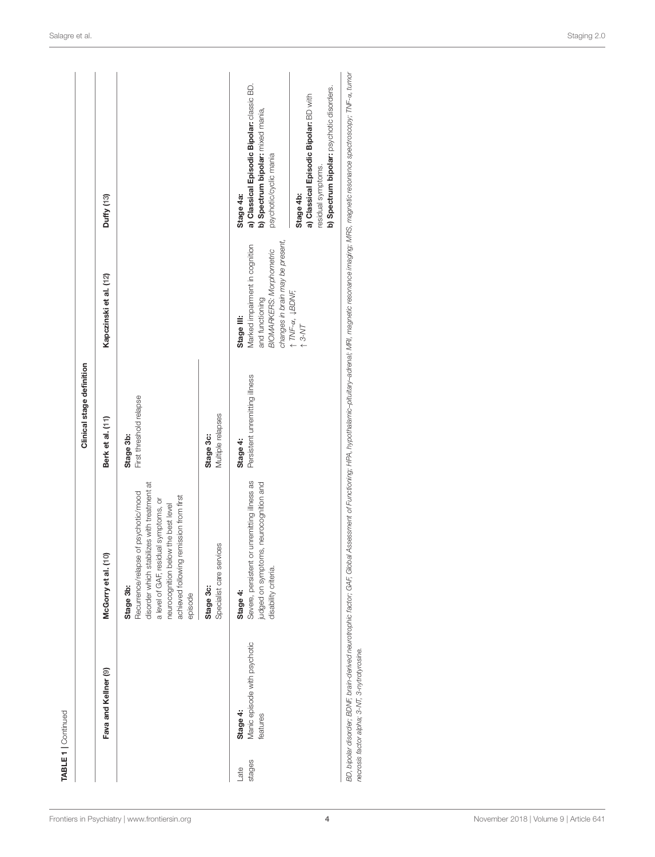|                |                                                      |                                                                                                                                                                                                                                        | Clinical stage definition                  |                                                                                                                                        |                                                                                                                        |
|----------------|------------------------------------------------------|----------------------------------------------------------------------------------------------------------------------------------------------------------------------------------------------------------------------------------------|--------------------------------------------|----------------------------------------------------------------------------------------------------------------------------------------|------------------------------------------------------------------------------------------------------------------------|
|                | Fava and Kellner (9)                                 | $\overline{c}$<br>McGorry et al.                                                                                                                                                                                                       | Berk et al. (11)                           | Kapczinski et al. (12)                                                                                                                 | Duffy (13)                                                                                                             |
|                |                                                      | disorder which stabilizes with treatment at<br>Recurrence/relapse of psychotic/mood<br>achieved following remission from first<br>a level of GAF, residual symptoms, or<br>neurocognition below the best level<br>Stage 3b:<br>episode | First threshold relapse<br>Stage 3b:       |                                                                                                                                        |                                                                                                                        |
|                |                                                      | Specialist care services<br>Stage 3c:                                                                                                                                                                                                  | Multiple relapses<br>Stage 3c:             |                                                                                                                                        |                                                                                                                        |
| stages<br>Late | Manic episode with psychotic<br>Stage 4:<br>features | Severe, persistent or unremitting illness as<br>judged on symptoms, neurocognition and<br>disability criteria.<br>Stage 4:                                                                                                             | Persistent unremitting illness<br>Stage 4: | changes in brain may be present,<br>Marked impairment in cognition<br><b>BIOMARKERS: Morphometric</b><br>and functioning<br>Stage III: | a) Classical Episodic Bipolar: classic BD.<br>b) Spectrum bipolar: mixed mania,<br>psychotic/cyclic mania<br>Stage 4a: |
|                |                                                      |                                                                                                                                                                                                                                        |                                            | $\uparrow$ TNF- $\alpha$ , $\downarrow$ BDNF,<br>$\uparrow$ 3-MT                                                                       | b) Spectrum bipolar: psychotic disorders.<br>a) Classical Episodic Bipolar: BD with<br>residual symptoms.<br>Stage 4b: |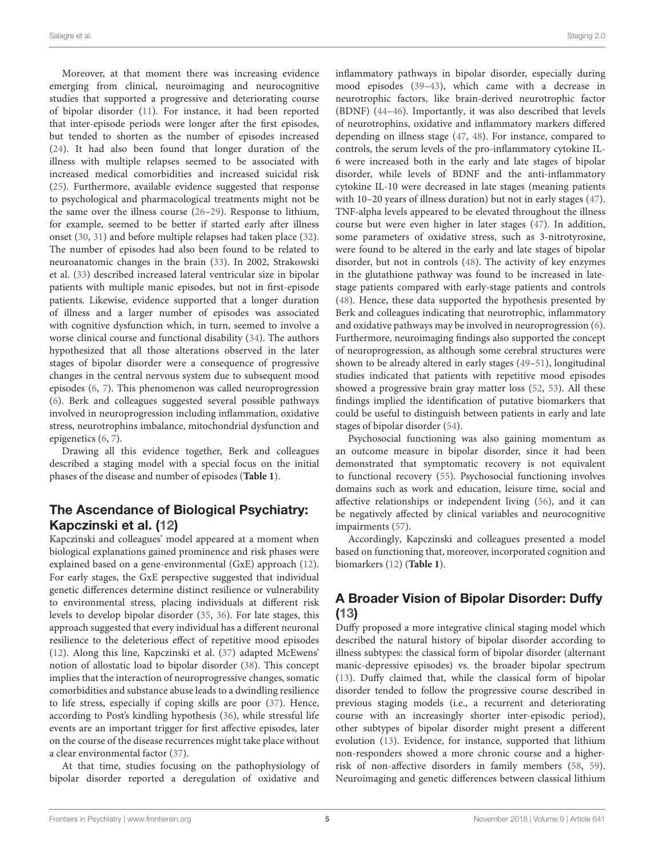Moreover, at that moment there was increasing evidence emerging from clinical, neuroimaging and neurocognitive studies that supported a progressive and deteriorating course of bipolar disorder (11). For instance, it had been reported that inter-episode periods were longer after the first episodes, but tended to shorten as the number of episodes increased (24). It had also been found that longer duration of the illness with multiple relapses seemed to be associated with increased medical comorbidities and increased suicidal risk (25). Furthermore, available evidence suggested that response to psychological and pharmacological treatments might not be the same over the illness course (26–29). Response to lithium, for example, seemed to be better if started early after illness onset (30, 31) and before multiple relapses had taken place (32). The number of episodes had also been found to be related to neuroanatomic changes in the brain (33). In 2002, Strakowski et al. (33) described increased lateral ventricular size in bipolar patients with multiple manic episodes, but not in first-episode patients. Likewise, evidence supported that a longer duration of illness and a larger number of episodes was associated with cognitive dysfunction which, in turn, seemed to involve a worse clinical course and functional disability (34). The authors hypothesized that all those alterations observed in the later stages of bipolar disorder were a consequence of progressive changes in the central nervous system due to subsequent mood episodes (6, 7). This phenomenon was called neuroprogression (6). Berk and colleagues suggested several possible pathways involved in neuroprogression including inflammation, oxidative stress, neurotrophins imbalance, mitochondrial dysfunction and epigenetics (6, 7).

Drawing all this evidence together, Berk and colleagues described a staging model with a special focus on the initial phases of the disease and number of episodes (**Table 1**).

### The Ascendance of Biological Psychiatry: Kapczinski et al. (12)

Kapczinski and colleagues' model appeared at a moment when biological explanations gained prominence and risk phases were explained based on a gene-environmental (GxE) approach (12). For early stages, the GxE perspective suggested that individual genetic differences determine distinct resilience or vulnerability to environmental stress, placing individuals at different risk levels to develop bipolar disorder (35, 36). For late stages, this approach suggested that every individual has a different neuronal resilience to the deleterious effect of repetitive mood episodes (12). Along this line, Kapczinski et al. (37) adapted McEwens' notion of allostatic load to bipolar disorder (38). This concept implies that the interaction of neuroprogressive changes, somatic comorbidities and substance abuse leads to a dwindling resilience to life stress, especially if coping skills are poor (37). Hence, according to Post's kindling hypothesis (36), while stressful life events are an important trigger for first affective episodes, later on the course of the disease recurrences might take place without a clear environmental factor (37).

At that time, studies focusing on the pathophysiology of bipolar disorder reported a deregulation of oxidative and inflammatory pathways in bipolar disorder, especially during mood episodes (39–43), which came with a decrease in neurotrophic factors, like brain-derived neurotrophic factor (BDNF) (44–46). Importantly, it was also described that levels of neurotrophins, oxidative and inflammatory markers differed depending on illness stage (47, 48). For instance, compared to controls, the serum levels of the pro-inflammatory cytokine IL-6 were increased both in the early and late stages of bipolar disorder, while levels of BDNF and the anti-inflammatory cytokine IL-10 were decreased in late stages (meaning patients with 10–20 years of illness duration) but not in early stages (47). TNF-alpha levels appeared to be elevated throughout the illness course but were even higher in later stages (47). In addition, some parameters of oxidative stress, such as 3-nitrotyrosine, were found to be altered in the early and late stages of bipolar disorder, but not in controls (48). The activity of key enzymes in the glutathione pathway was found to be increased in latestage patients compared with early-stage patients and controls (48). Hence, these data supported the hypothesis presented by Berk and colleagues indicating that neurotrophic, inflammatory and oxidative pathways may be involved in neuroprogression (6). Furthermore, neuroimaging findings also supported the concept of neuroprogression, as although some cerebral structures were shown to be already altered in early stages (49–51), longitudinal studies indicated that patients with repetitive mood episodes showed a progressive brain gray matter loss (52, 53). All these findings implied the identification of putative biomarkers that could be useful to distinguish between patients in early and late stages of bipolar disorder (54).

Psychosocial functioning was also gaining momentum as an outcome measure in bipolar disorder, since it had been demonstrated that symptomatic recovery is not equivalent to functional recovery (55). Psychosocial functioning involves domains such as work and education, leisure time, social and affective relationships or independent living (56), and it can be negatively affected by clinical variables and neurocognitive impairments (57).

Accordingly, Kapczinski and colleagues presented a model based on functioning that, moreover, incorporated cognition and biomarkers (12) (**Table 1**).

# A Broader Vision of Bipolar Disorder: Duffy (13)

Duffy proposed a more integrative clinical staging model which described the natural history of bipolar disorder according to illness subtypes: the classical form of bipolar disorder (alternant manic-depressive episodes) vs. the broader bipolar spectrum (13). Duffy claimed that, while the classical form of bipolar disorder tended to follow the progressive course described in previous staging models (i.e., a recurrent and deteriorating course with an increasingly shorter inter-episodic period), other subtypes of bipolar disorder might present a different evolution (13). Evidence, for instance, supported that lithium non-responders showed a more chronic course and a higherrisk of non-affective disorders in family members (58, 59). Neuroimaging and genetic differences between classical lithium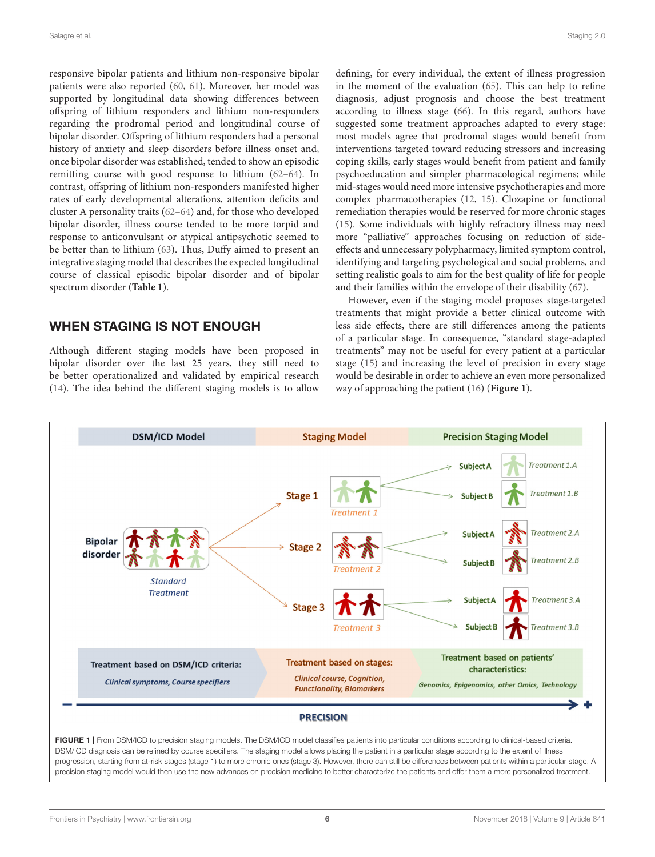responsive bipolar patients and lithium non-responsive bipolar patients were also reported (60, 61). Moreover, her model was supported by longitudinal data showing differences between offspring of lithium responders and lithium non-responders regarding the prodromal period and longitudinal course of bipolar disorder. Offspring of lithium responders had a personal history of anxiety and sleep disorders before illness onset and, once bipolar disorder was established, tended to show an episodic remitting course with good response to lithium (62–64). In contrast, offspring of lithium non-responders manifested higher rates of early developmental alterations, attention deficits and cluster A personality traits (62–64) and, for those who developed bipolar disorder, illness course tended to be more torpid and response to anticonvulsant or atypical antipsychotic seemed to be better than to lithium (63). Thus, Duffy aimed to present an integrative staging model that describes the expected longitudinal course of classical episodic bipolar disorder and of bipolar spectrum disorder (**Table 1**).

### WHEN STAGING IS NOT ENOUGH

Although different staging models have been proposed in bipolar disorder over the last 25 years, they still need to be better operationalized and validated by empirical research (14). The idea behind the different staging models is to allow defining, for every individual, the extent of illness progression in the moment of the evaluation (65). This can help to refine diagnosis, adjust prognosis and choose the best treatment according to illness stage (66). In this regard, authors have suggested some treatment approaches adapted to every stage: most models agree that prodromal stages would benefit from interventions targeted toward reducing stressors and increasing coping skills; early stages would benefit from patient and family psychoeducation and simpler pharmacological regimens; while mid-stages would need more intensive psychotherapies and more complex pharmacotherapies (12, 15). Clozapine or functional remediation therapies would be reserved for more chronic stages (15). Some individuals with highly refractory illness may need more "palliative" approaches focusing on reduction of sideeffects and unnecessary polypharmacy, limited symptom control, identifying and targeting psychological and social problems, and setting realistic goals to aim for the best quality of life for people and their families within the envelope of their disability (67).

However, even if the staging model proposes stage-targeted treatments that might provide a better clinical outcome with less side effects, there are still differences among the patients of a particular stage. In consequence, "standard stage-adapted treatments" may not be useful for every patient at a particular stage (15) and increasing the level of precision in every stage would be desirable in order to achieve an even more personalized way of approaching the patient (16) (**Figure 1**).

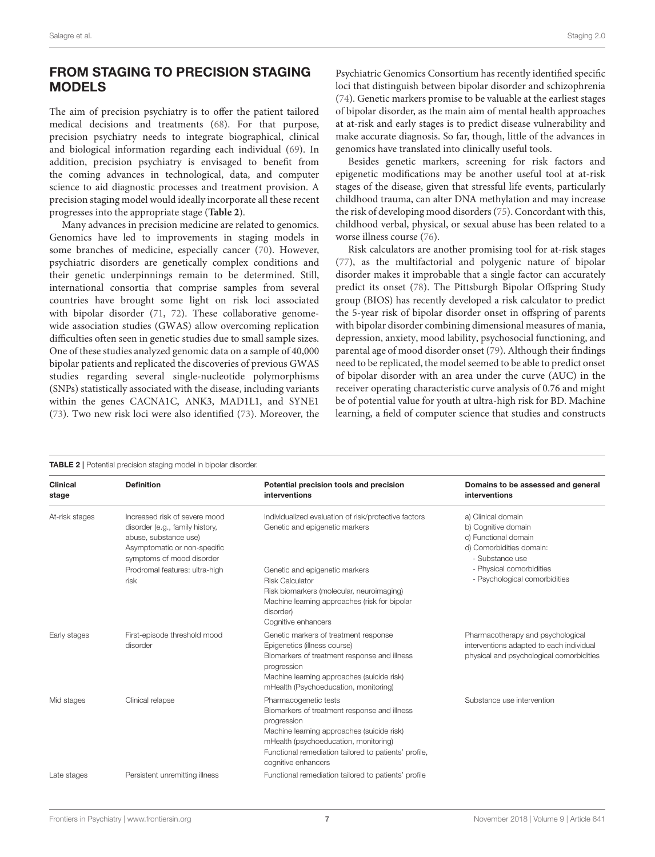# FROM STAGING TO PRECISION STAGING MODELS

The aim of precision psychiatry is to offer the patient tailored medical decisions and treatments (68). For that purpose, precision psychiatry needs to integrate biographical, clinical and biological information regarding each individual (69). In addition, precision psychiatry is envisaged to benefit from the coming advances in technological, data, and computer science to aid diagnostic processes and treatment provision. A precision staging model would ideally incorporate all these recent progresses into the appropriate stage (**Table 2**).

Many advances in precision medicine are related to genomics. Genomics have led to improvements in staging models in some branches of medicine, especially cancer (70). However, psychiatric disorders are genetically complex conditions and their genetic underpinnings remain to be determined. Still, international consortia that comprise samples from several countries have brought some light on risk loci associated with bipolar disorder (71, 72). These collaborative genomewide association studies (GWAS) allow overcoming replication difficulties often seen in genetic studies due to small sample sizes. One of these studies analyzed genomic data on a sample of 40,000 bipolar patients and replicated the discoveries of previous GWAS studies regarding several single-nucleotide polymorphisms (SNPs) statistically associated with the disease, including variants within the genes CACNA1C, ANK3, MAD1L1, and SYNE1 (73). Two new risk loci were also identified (73). Moreover, the Psychiatric Genomics Consortium has recently identified specific loci that distinguish between bipolar disorder and schizophrenia (74). Genetic markers promise to be valuable at the earliest stages of bipolar disorder, as the main aim of mental health approaches at at-risk and early stages is to predict disease vulnerability and make accurate diagnosis. So far, though, little of the advances in genomics have translated into clinically useful tools.

Besides genetic markers, screening for risk factors and epigenetic modifications may be another useful tool at at-risk stages of the disease, given that stressful life events, particularly childhood trauma, can alter DNA methylation and may increase the risk of developing mood disorders (75). Concordant with this, childhood verbal, physical, or sexual abuse has been related to a worse illness course (76).

Risk calculators are another promising tool for at-risk stages (77), as the multifactorial and polygenic nature of bipolar disorder makes it improbable that a single factor can accurately predict its onset (78). The Pittsburgh Bipolar Offspring Study group (BIOS) has recently developed a risk calculator to predict the 5-year risk of bipolar disorder onset in offspring of parents with bipolar disorder combining dimensional measures of mania, depression, anxiety, mood lability, psychosocial functioning, and parental age of mood disorder onset (79). Although their findings need to be replicated, the model seemed to be able to predict onset of bipolar disorder with an area under the curve (AUC) in the receiver operating characteristic curve analysis of 0.76 and might be of potential value for youth at ultra-high risk for BD. Machine learning, a field of computer science that studies and constructs

| <b>TABLE 2</b>   Potential precision staging model in bipolar disorder. |                                                                                                                                                        |                                                                                                                                                                                                                                                             |                                                                                                                           |  |  |
|-------------------------------------------------------------------------|--------------------------------------------------------------------------------------------------------------------------------------------------------|-------------------------------------------------------------------------------------------------------------------------------------------------------------------------------------------------------------------------------------------------------------|---------------------------------------------------------------------------------------------------------------------------|--|--|
| <b>Clinical</b><br>stage                                                | <b>Definition</b>                                                                                                                                      | Potential precision tools and precision<br>interventions                                                                                                                                                                                                    | Domains to be assessed and general<br>interventions                                                                       |  |  |
| At-risk stages                                                          | Increased risk of severe mood<br>disorder (e.g., family history,<br>abuse, substance use)<br>Asymptomatic or non-specific<br>symptoms of mood disorder | Individualized evaluation of risk/protective factors<br>Genetic and epigenetic markers                                                                                                                                                                      | a) Clinical domain<br>b) Cognitive domain<br>c) Functional domain<br>d) Comorbidities domain:<br>- Substance use          |  |  |
|                                                                         | Prodromal features: ultra-high<br>risk                                                                                                                 | Genetic and epigenetic markers<br><b>Risk Calculator</b><br>Risk biomarkers (molecular, neuroimaging)<br>Machine learning approaches (risk for bipolar<br>disorder)<br>Cognitive enhancers                                                                  | - Physical comorbidities<br>- Psychological comorbidities                                                                 |  |  |
| Early stages                                                            | First-episode threshold mood<br>disorder                                                                                                               | Genetic markers of treatment response<br>Epigenetics (illness course)<br>Biomarkers of treatment response and illness<br>progression<br>Machine learning approaches (suicide risk)<br>mHealth (Psychoeducation, monitoring)                                 | Pharmacotherapy and psychological<br>interventions adapted to each individual<br>physical and psychological comorbidities |  |  |
| Mid stages                                                              | Clinical relapse                                                                                                                                       | Pharmacogenetic tests<br>Biomarkers of treatment response and illness<br>progression<br>Machine learning approaches (suicide risk)<br>mHealth (psychoeducation, monitoring)<br>Functional remediation tailored to patients' profile,<br>cognitive enhancers | Substance use intervention                                                                                                |  |  |
| Late stages                                                             | Persistent unremitting illness                                                                                                                         | Functional remediation tailored to patients' profile                                                                                                                                                                                                        |                                                                                                                           |  |  |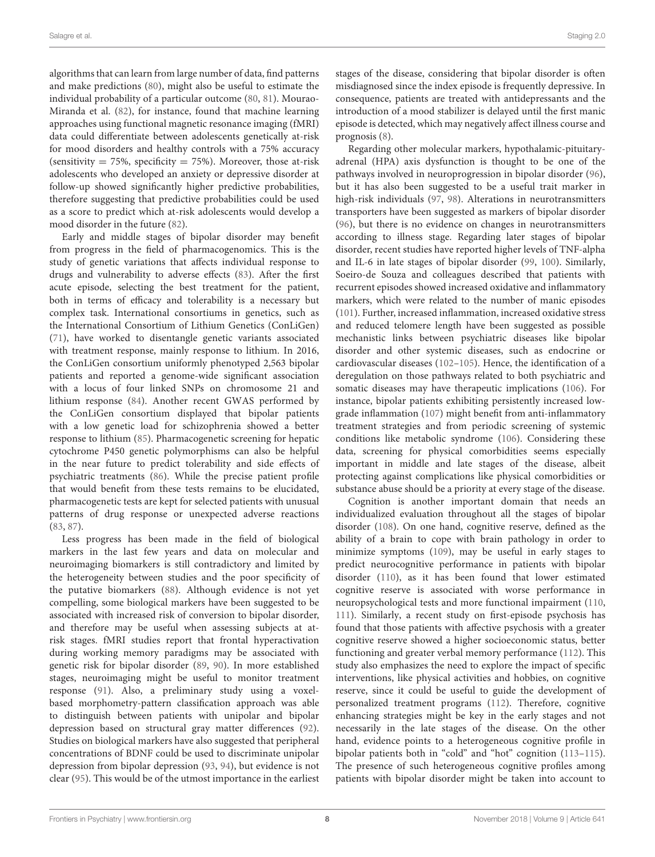algorithms that can learn from large number of data, find patterns and make predictions (80), might also be useful to estimate the individual probability of a particular outcome (80, 81). Mourao-Miranda et al. (82), for instance, found that machine learning approaches using functional magnetic resonance imaging (fMRI) data could differentiate between adolescents genetically at-risk for mood disorders and healthy controls with a 75% accuracy (sensitivity  $= 75\%$ , specificity  $= 75\%$ ). Moreover, those at-risk adolescents who developed an anxiety or depressive disorder at follow-up showed significantly higher predictive probabilities, therefore suggesting that predictive probabilities could be used as a score to predict which at-risk adolescents would develop a mood disorder in the future (82).

Early and middle stages of bipolar disorder may benefit from progress in the field of pharmacogenomics. This is the study of genetic variations that affects individual response to drugs and vulnerability to adverse effects (83). After the first acute episode, selecting the best treatment for the patient, both in terms of efficacy and tolerability is a necessary but complex task. International consortiums in genetics, such as the International Consortium of Lithium Genetics (ConLiGen) (71), have worked to disentangle genetic variants associated with treatment response, mainly response to lithium. In 2016, the ConLiGen consortium uniformly phenotyped 2,563 bipolar patients and reported a genome-wide significant association with a locus of four linked SNPs on chromosome 21 and lithium response (84). Another recent GWAS performed by the ConLiGen consortium displayed that bipolar patients with a low genetic load for schizophrenia showed a better response to lithium (85). Pharmacogenetic screening for hepatic cytochrome P450 genetic polymorphisms can also be helpful in the near future to predict tolerability and side effects of psychiatric treatments (86). While the precise patient profile that would benefit from these tests remains to be elucidated, pharmacogenetic tests are kept for selected patients with unusual patterns of drug response or unexpected adverse reactions (83, 87).

Less progress has been made in the field of biological markers in the last few years and data on molecular and neuroimaging biomarkers is still contradictory and limited by the heterogeneity between studies and the poor specificity of the putative biomarkers (88). Although evidence is not yet compelling, some biological markers have been suggested to be associated with increased risk of conversion to bipolar disorder, and therefore may be useful when assessing subjects at atrisk stages. fMRI studies report that frontal hyperactivation during working memory paradigms may be associated with genetic risk for bipolar disorder (89, 90). In more established stages, neuroimaging might be useful to monitor treatment response (91). Also, a preliminary study using a voxelbased morphometry-pattern classification approach was able to distinguish between patients with unipolar and bipolar depression based on structural gray matter differences (92). Studies on biological markers have also suggested that peripheral concentrations of BDNF could be used to discriminate unipolar depression from bipolar depression (93, 94), but evidence is not clear (95). This would be of the utmost importance in the earliest stages of the disease, considering that bipolar disorder is often misdiagnosed since the index episode is frequently depressive. In consequence, patients are treated with antidepressants and the introduction of a mood stabilizer is delayed until the first manic episode is detected, which may negatively affect illness course and prognosis (8).

Regarding other molecular markers, hypothalamic-pituitaryadrenal (HPA) axis dysfunction is thought to be one of the pathways involved in neuroprogression in bipolar disorder (96), but it has also been suggested to be a useful trait marker in high-risk individuals (97, 98). Alterations in neurotransmitters transporters have been suggested as markers of bipolar disorder (96), but there is no evidence on changes in neurotransmitters according to illness stage. Regarding later stages of bipolar disorder, recent studies have reported higher levels of TNF-alpha and IL-6 in late stages of bipolar disorder (99, 100). Similarly, Soeiro-de Souza and colleagues described that patients with recurrent episodes showed increased oxidative and inflammatory markers, which were related to the number of manic episodes (101). Further, increased inflammation, increased oxidative stress and reduced telomere length have been suggested as possible mechanistic links between psychiatric diseases like bipolar disorder and other systemic diseases, such as endocrine or cardiovascular diseases (102–105). Hence, the identification of a deregulation on those pathways related to both psychiatric and somatic diseases may have therapeutic implications (106). For instance, bipolar patients exhibiting persistently increased lowgrade inflammation (107) might benefit from anti-inflammatory treatment strategies and from periodic screening of systemic conditions like metabolic syndrome (106). Considering these data, screening for physical comorbidities seems especially important in middle and late stages of the disease, albeit protecting against complications like physical comorbidities or substance abuse should be a priority at every stage of the disease.

Cognition is another important domain that needs an individualized evaluation throughout all the stages of bipolar disorder (108). On one hand, cognitive reserve, defined as the ability of a brain to cope with brain pathology in order to minimize symptoms (109), may be useful in early stages to predict neurocognitive performance in patients with bipolar disorder (110), as it has been found that lower estimated cognitive reserve is associated with worse performance in neuropsychological tests and more functional impairment (110, 111). Similarly, a recent study on first-episode psychosis has found that those patients with affective psychosis with a greater cognitive reserve showed a higher socioeconomic status, better functioning and greater verbal memory performance (112). This study also emphasizes the need to explore the impact of specific interventions, like physical activities and hobbies, on cognitive reserve, since it could be useful to guide the development of personalized treatment programs (112). Therefore, cognitive enhancing strategies might be key in the early stages and not necessarily in the late stages of the disease. On the other hand, evidence points to a heterogeneous cognitive profile in bipolar patients both in "cold" and "hot" cognition (113–115). The presence of such heterogeneous cognitive profiles among patients with bipolar disorder might be taken into account to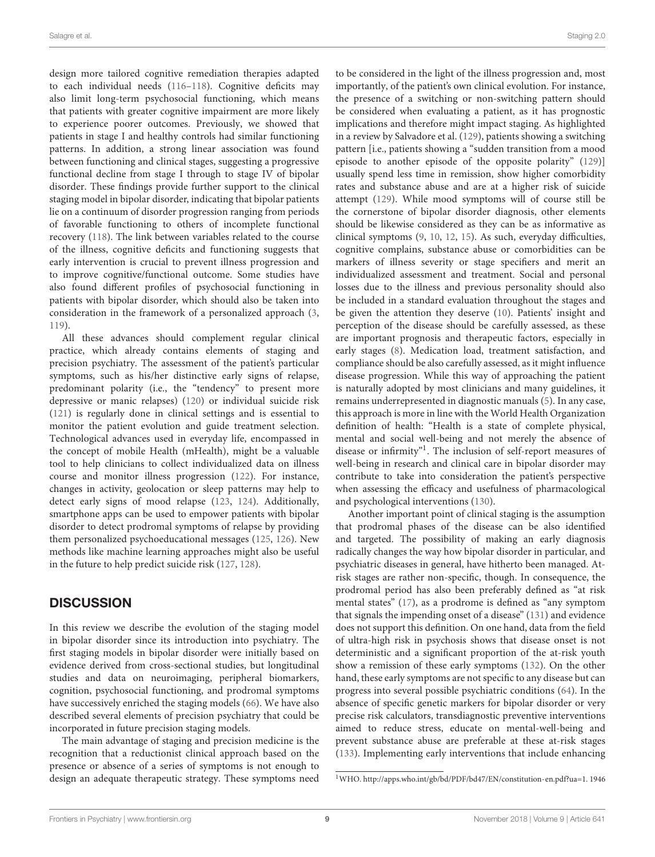design more tailored cognitive remediation therapies adapted to each individual needs (116–118). Cognitive deficits may also limit long-term psychosocial functioning, which means that patients with greater cognitive impairment are more likely to experience poorer outcomes. Previously, we showed that patients in stage I and healthy controls had similar functioning patterns. In addition, a strong linear association was found between functioning and clinical stages, suggesting a progressive functional decline from stage I through to stage IV of bipolar disorder. These findings provide further support to the clinical staging model in bipolar disorder, indicating that bipolar patients lie on a continuum of disorder progression ranging from periods of favorable functioning to others of incomplete functional recovery (118). The link between variables related to the course of the illness, cognitive deficits and functioning suggests that early intervention is crucial to prevent illness progression and to improve cognitive/functional outcome. Some studies have also found different profiles of psychosocial functioning in patients with bipolar disorder, which should also be taken into consideration in the framework of a personalized approach (3, 119).

All these advances should complement regular clinical practice, which already contains elements of staging and precision psychiatry. The assessment of the patient's particular symptoms, such as his/her distinctive early signs of relapse, predominant polarity (i.e., the "tendency" to present more depressive or manic relapses) (120) or individual suicide risk (121) is regularly done in clinical settings and is essential to monitor the patient evolution and guide treatment selection. Technological advances used in everyday life, encompassed in the concept of mobile Health (mHealth), might be a valuable tool to help clinicians to collect individualized data on illness course and monitor illness progression (122). For instance, changes in activity, geolocation or sleep patterns may help to detect early signs of mood relapse (123, 124). Additionally, smartphone apps can be used to empower patients with bipolar disorder to detect prodromal symptoms of relapse by providing them personalized psychoeducational messages (125, 126). New methods like machine learning approaches might also be useful in the future to help predict suicide risk (127, 128).

# **DISCUSSION**

In this review we describe the evolution of the staging model in bipolar disorder since its introduction into psychiatry. The first staging models in bipolar disorder were initially based on evidence derived from cross-sectional studies, but longitudinal studies and data on neuroimaging, peripheral biomarkers, cognition, psychosocial functioning, and prodromal symptoms have successively enriched the staging models (66). We have also described several elements of precision psychiatry that could be incorporated in future precision staging models.

The main advantage of staging and precision medicine is the recognition that a reductionist clinical approach based on the presence or absence of a series of symptoms is not enough to design an adequate therapeutic strategy. These symptoms need to be considered in the light of the illness progression and, most importantly, of the patient's own clinical evolution. For instance, the presence of a switching or non-switching pattern should be considered when evaluating a patient, as it has prognostic implications and therefore might impact staging. As highlighted in a review by Salvadore et al. (129), patients showing a switching pattern [i.e., patients showing a "sudden transition from a mood episode to another episode of the opposite polarity" (129)] usually spend less time in remission, show higher comorbidity rates and substance abuse and are at a higher risk of suicide attempt (129). While mood symptoms will of course still be the cornerstone of bipolar disorder diagnosis, other elements should be likewise considered as they can be as informative as clinical symptoms (9, 10, 12, 15). As such, everyday difficulties, cognitive complains, substance abuse or comorbidities can be markers of illness severity or stage specifiers and merit an individualized assessment and treatment. Social and personal losses due to the illness and previous personality should also be included in a standard evaluation throughout the stages and be given the attention they deserve (10). Patients' insight and perception of the disease should be carefully assessed, as these are important prognosis and therapeutic factors, especially in early stages (8). Medication load, treatment satisfaction, and compliance should be also carefully assessed, as it might influence disease progression. While this way of approaching the patient is naturally adopted by most clinicians and many guidelines, it remains underrepresented in diagnostic manuals (5). In any case, this approach is more in line with the World Health Organization definition of health: "Health is a state of complete physical, mental and social well-being and not merely the absence of disease or infirmity"<sup>1</sup> . The inclusion of self-report measures of well-being in research and clinical care in bipolar disorder may contribute to take into consideration the patient's perspective when assessing the efficacy and usefulness of pharmacological and psychological interventions (130).

Another important point of clinical staging is the assumption that prodromal phases of the disease can be also identified and targeted. The possibility of making an early diagnosis radically changes the way how bipolar disorder in particular, and psychiatric diseases in general, have hitherto been managed. Atrisk stages are rather non-specific, though. In consequence, the prodromal period has also been preferably defined as "at risk mental states" (17), as a prodrome is defined as "any symptom that signals the impending onset of a disease" (131) and evidence does not support this definition. On one hand, data from the field of ultra-high risk in psychosis shows that disease onset is not deterministic and a significant proportion of the at-risk youth show a remission of these early symptoms (132). On the other hand, these early symptoms are not specific to any disease but can progress into several possible psychiatric conditions (64). In the absence of specific genetic markers for bipolar disorder or very precise risk calculators, transdiagnostic preventive interventions aimed to reduce stress, educate on mental-well-being and prevent substance abuse are preferable at these at-risk stages (133). Implementing early interventions that include enhancing

<sup>1</sup>WHO. http://apps.who.int/gb/bd/PDF/bd47/EN/constitution-en.pdf?ua=1. 1946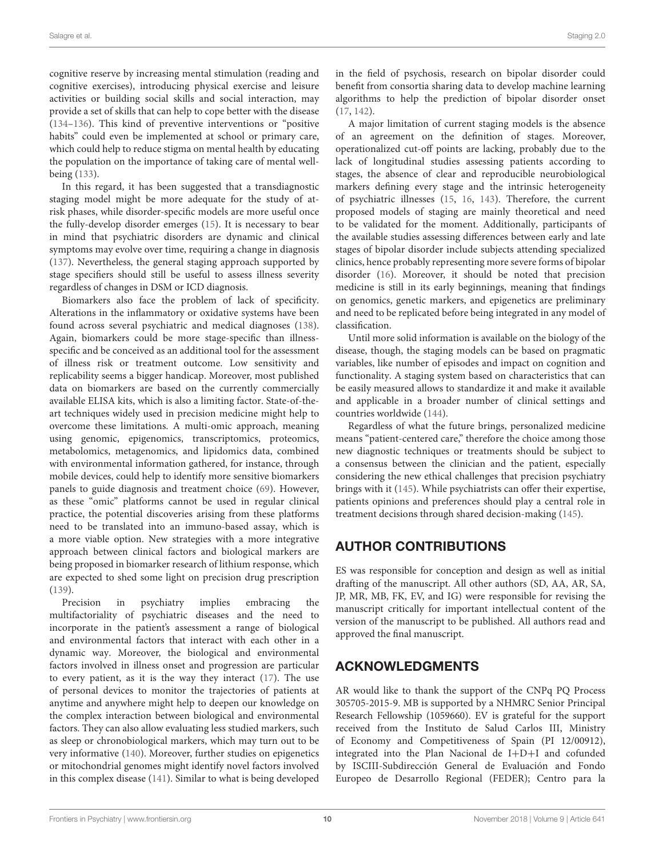cognitive reserve by increasing mental stimulation (reading and cognitive exercises), introducing physical exercise and leisure activities or building social skills and social interaction, may provide a set of skills that can help to cope better with the disease (134–136). This kind of preventive interventions or "positive habits" could even be implemented at school or primary care, which could help to reduce stigma on mental health by educating the population on the importance of taking care of mental wellbeing (133).

In this regard, it has been suggested that a transdiagnostic staging model might be more adequate for the study of atrisk phases, while disorder-specific models are more useful once the fully-develop disorder emerges (15). It is necessary to bear in mind that psychiatric disorders are dynamic and clinical symptoms may evolve over time, requiring a change in diagnosis (137). Nevertheless, the general staging approach supported by stage specifiers should still be useful to assess illness severity regardless of changes in DSM or ICD diagnosis.

Biomarkers also face the problem of lack of specificity. Alterations in the inflammatory or oxidative systems have been found across several psychiatric and medical diagnoses (138). Again, biomarkers could be more stage-specific than illnessspecific and be conceived as an additional tool for the assessment of illness risk or treatment outcome. Low sensitivity and replicability seems a bigger handicap. Moreover, most published data on biomarkers are based on the currently commercially available ELISA kits, which is also a limiting factor. State-of-theart techniques widely used in precision medicine might help to overcome these limitations. A multi-omic approach, meaning using genomic, epigenomics, transcriptomics, proteomics, metabolomics, metagenomics, and lipidomics data, combined with environmental information gathered, for instance, through mobile devices, could help to identify more sensitive biomarkers panels to guide diagnosis and treatment choice (69). However, as these "omic" platforms cannot be used in regular clinical practice, the potential discoveries arising from these platforms need to be translated into an immuno-based assay, which is a more viable option. New strategies with a more integrative approach between clinical factors and biological markers are being proposed in biomarker research of lithium response, which are expected to shed some light on precision drug prescription (139).

Precision in psychiatry implies embracing the multifactoriality of psychiatric diseases and the need to incorporate in the patient's assessment a range of biological and environmental factors that interact with each other in a dynamic way. Moreover, the biological and environmental factors involved in illness onset and progression are particular to every patient, as it is the way they interact (17). The use of personal devices to monitor the trajectories of patients at anytime and anywhere might help to deepen our knowledge on the complex interaction between biological and environmental factors. They can also allow evaluating less studied markers, such as sleep or chronobiological markers, which may turn out to be very informative (140). Moreover, further studies on epigenetics or mitochondrial genomes might identify novel factors involved in this complex disease (141). Similar to what is being developed in the field of psychosis, research on bipolar disorder could benefit from consortia sharing data to develop machine learning algorithms to help the prediction of bipolar disorder onset (17, 142).

A major limitation of current staging models is the absence of an agreement on the definition of stages. Moreover, operationalized cut-off points are lacking, probably due to the lack of longitudinal studies assessing patients according to stages, the absence of clear and reproducible neurobiological markers defining every stage and the intrinsic heterogeneity of psychiatric illnesses (15, 16, 143). Therefore, the current proposed models of staging are mainly theoretical and need to be validated for the moment. Additionally, participants of the available studies assessing differences between early and late stages of bipolar disorder include subjects attending specialized clinics, hence probably representing more severe forms of bipolar disorder (16). Moreover, it should be noted that precision medicine is still in its early beginnings, meaning that findings on genomics, genetic markers, and epigenetics are preliminary and need to be replicated before being integrated in any model of classification.

Until more solid information is available on the biology of the disease, though, the staging models can be based on pragmatic variables, like number of episodes and impact on cognition and functionality. A staging system based on characteristics that can be easily measured allows to standardize it and make it available and applicable in a broader number of clinical settings and countries worldwide (144).

Regardless of what the future brings, personalized medicine means "patient-centered care," therefore the choice among those new diagnostic techniques or treatments should be subject to a consensus between the clinician and the patient, especially considering the new ethical challenges that precision psychiatry brings with it (145). While psychiatrists can offer their expertise, patients opinions and preferences should play a central role in treatment decisions through shared decision-making (145).

# AUTHOR CONTRIBUTIONS

ES was responsible for conception and design as well as initial drafting of the manuscript. All other authors (SD, AA, AR, SA, JP, MR, MB, FK, EV, and IG) were responsible for revising the manuscript critically for important intellectual content of the version of the manuscript to be published. All authors read and approved the final manuscript.

# ACKNOWLEDGMENTS

AR would like to thank the support of the CNPq PQ Process 305705-2015-9. MB is supported by a NHMRC Senior Principal Research Fellowship (1059660). EV is grateful for the support received from the Instituto de Salud Carlos III, Ministry of Economy and Competitiveness of Spain (PI 12/00912), integrated into the Plan Nacional de I+D+I and cofunded by ISCIII-Subdirección General de Evaluación and Fondo Europeo de Desarrollo Regional (FEDER); Centro para la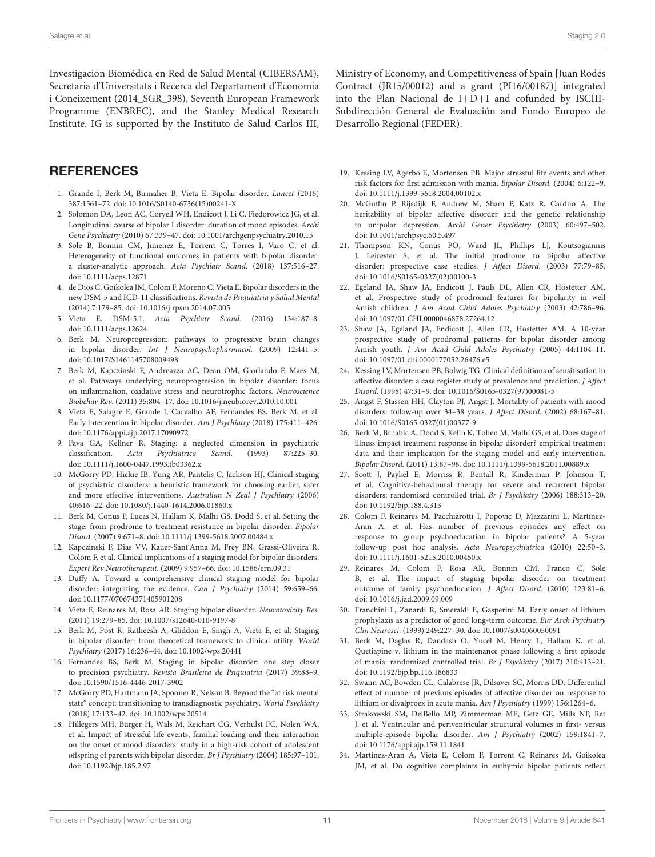Investigación Biomédica en Red de Salud Mental (CIBERSAM), Secretaria d'Universitats i Recerca del Departament d'Economia i Coneixement (2014\_SGR\_398), Seventh European Framework Programme (ENBREC), and the Stanley Medical Research Institute. IG is supported by the Instituto de Salud Carlos III,

### **REFERENCES**

- 1. Grande I, Berk M, Birmaher B, Vieta E. Bipolar disorder. Lancet (2016) 387:1561–72. doi: 10.1016/S0140-6736(15)00241-X
- 2. Solomon DA, Leon AC, Coryell WH, Endicott J, Li C, Fiedorowicz JG, et al. Longitudinal course of bipolar I disorder: duration of mood episodes. Archi Gene Psychiatry (2010) 67:339–47. doi: 10.1001/archgenpsychiatry.2010.15
- 3. Sole B, Bonnin CM, Jimenez E, Torrent C, Torres I, Varo C, et al. Heterogeneity of functional outcomes in patients with bipolar disorder: a cluster-analytic approach. Acta Psychiatr Scand. (2018) 137:516–27. doi: 10.1111/acps.12871
- 4. de Dios C, Goikolea JM, Colom F, Moreno C, Vieta E. Bipolar disorders in the new DSM-5 and ICD-11 classifications. Revista de Psiquiatria y Salud Mental (2014) 7:179–85. doi: 10.1016/j.rpsm.2014.07.005
- 5. Vieta E. DSM-5.1. Acta Psychiatr Scand. (2016) 134:187–8. doi: 10.1111/acps.12624
- 6. Berk M. Neuroprogression: pathways to progressive brain changes in bipolar disorder. Int J Neuropsychopharmacol. (2009) 12:441–5. doi: 10.1017/S1461145708009498
- 7. Berk M, Kapczinski F, Andreazza AC, Dean OM, Giorlando F, Maes M, et al. Pathways underlying neuroprogression in bipolar disorder: focus on inflammation, oxidative stress and neurotrophic factors. Neuroscience Biobehav Rev. (2011) 35:804–17. doi: 10.1016/j.neubiorev.2010.10.001
- 8. Vieta E, Salagre E, Grande I, Carvalho AF, Fernandes BS, Berk M, et al. Early intervention in bipolar disorder. Am J Psychiatry (2018) 175:411–426. doi: 10.1176/appi.ajp.2017.17090972
- 9. Fava GA, Kellner R. Staging: a neglected dimension in psychiatric classification. Acta Psychiatrica Scand. (1993) 87:225–30. doi: 10.1111/j.1600-0447.1993.tb03362.x
- 10. McGorry PD, Hickie IB, Yung AR, Pantelis C, Jackson HJ. Clinical staging of psychiatric disorders: a heuristic framework for choosing earlier, safer and more effective interventions. Australian N Zeal J Psychiatry (2006) 40:616–22. doi: 10.1080/j.1440-1614.2006.01860.x
- 11. Berk M, Conus P, Lucas N, Hallam K, Malhi GS, Dodd S, et al. Setting the stage: from prodrome to treatment resistance in bipolar disorder. Bipolar Disord. (2007) 9:671–8. doi: 10.1111/j.1399-5618.2007.00484.x
- 12. Kapczinski F, Dias VV, Kauer-Sant'Anna M, Frey BN, Grassi-Oliveira R, Colom F, et al. Clinical implications of a staging model for bipolar disorders. Expert Rev Neurotherapeut. (2009) 9:957–66. doi: 10.1586/ern.09.31
- 13. Duffy A. Toward a comprehensive clinical staging model for bipolar disorder: integrating the evidence. Can J Psychiatry (2014) 59:659–66. doi: 10.1177/070674371405901208
- 14. Vieta E, Reinares M, Rosa AR. Staging bipolar disorder. Neurotoxicity Res. (2011) 19:279–85. doi: 10.1007/s12640-010-9197-8
- 15. Berk M, Post R, Ratheesh A, Gliddon E, Singh A, Vieta E, et al. Staging in bipolar disorder: from theoretical framework to clinical utility. World Psychiatry (2017) 16:236–44. doi: 10.1002/wps.20441
- 16. Fernandes BS, Berk M. Staging in bipolar disorder: one step closer to precision psychiatry. Revista Brasileira de Psiquiatria (2017) 39:88–9. doi: 10.1590/1516-4446-2017-3902
- 17. McGorry PD, Hartmann JA, Spooner R, Nelson B. Beyond the "at risk mental state" concept: transitioning to transdiagnostic psychiatry. World Psychiatry (2018) 17:133–42. doi: 10.1002/wps.20514
- 18. Hillegers MH, Burger H, Wals M, Reichart CG, Verhulst FC, Nolen WA, et al. Impact of stressful life events, familial loading and their interaction on the onset of mood disorders: study in a high-risk cohort of adolescent offspring of parents with bipolar disorder. Br J Psychiatry (2004) 185:97–101. doi: 10.1192/bjp.185.2.97

Ministry of Economy, and Competitiveness of Spain [Juan Rodés Contract (JR15/00012) and a grant (PI16/00187)] integrated into the Plan Nacional de  $I+D+I$  and cofunded by ISCIII-Subdirección General de Evaluación and Fondo Europeo de Desarrollo Regional (FEDER).

- 19. Kessing LV, Agerbo E, Mortensen PB. Major stressful life events and other risk factors for first admission with mania. Bipolar Disord. (2004) 6:122–9. doi: 10.1111/j.1399-5618.2004.00102.x
- 20. McGuffin P, Rijsdijk F, Andrew M, Sham P, Katz R, Cardno A. The heritability of bipolar affective disorder and the genetic relationship to unipolar depression. Archi Gener Psychiatry (2003) 60:497–502. doi: 10.1001/archpsyc.60.5.497
- 21. Thompson KN, Conus PO, Ward JL, Phillips LJ, Koutsogiannis J, Leicester S, et al. The initial prodrome to bipolar affective disorder: prospective case studies. J Affect Disord. (2003) 77:79–85. doi: 10.1016/S0165-0327(02)00100-3
- 22. Egeland JA, Shaw JA, Endicott J, Pauls DL, Allen CR, Hostetter AM, et al. Prospective study of prodromal features for bipolarity in well Amish children. J Am Acad Child Adoles Psychiatry (2003) 42:786–96. doi: 10.1097/01.CHI.0000046878.27264.12
- 23. Shaw JA, Egeland JA, Endicott J, Allen CR, Hostetter AM. A 10-year prospective study of prodromal patterns for bipolar disorder among Amish youth. J Am Acad Child Adoles Psychiatry (2005) 44:1104–11. doi: 10.1097/01.chi.0000177052.26476.e5
- 24. Kessing LV, Mortensen PB, Bolwig TG. Clinical definitions of sensitisation in affective disorder: a case register study of prevalence and prediction. J Affect Disord. (1998) 47:31–9. doi: 10.1016/S0165-0327(97)00081-5
- 25. Angst F, Stassen HH, Clayton PJ, Angst J. Mortality of patients with mood disorders: follow-up over 34–38 years. J Affect Disord. (2002) 68:167–81. doi: 10.1016/S0165-0327(01)00377-9
- 26. Berk M, Brnabic A, Dodd S, Kelin K, Tohen M, Malhi GS, et al. Does stage of illness impact treatment response in bipolar disorder? empirical treatment data and their implication for the staging model and early intervention. Bipolar Disord. (2011) 13:87–98. doi: 10.1111/j.1399-5618.2011.00889.x
- 27. Scott J, Paykel E, Morriss R, Bentall R, Kinderman P, Johnson T, et al. Cognitive-behavioural therapy for severe and recurrent bipolar disorders: randomised controlled trial. Br J Psychiatry (2006) 188:313–20. doi: 10.1192/bjp.188.4.313
- 28. Colom F, Reinares M, Pacchiarotti I, Popovic D, Mazzarini L, Martinez-Aran A, et al. Has number of previous episodes any effect on response to group psychoeducation in bipolar patients? A 5-year follow-up post hoc analysis. Acta Neuropsychiatrica (2010) 22:50–3. doi: 10.1111/j.1601-5215.2010.00450.x
- 29. Reinares M, Colom F, Rosa AR, Bonnin CM, Franco C, Sole B, et al. The impact of staging bipolar disorder on treatment outcome of family psychoeducation. J Affect Disord. (2010) 123:81–6. doi: 10.1016/j.jad.2009.09.009
- 30. Franchini L, Zanardi R, Smeraldi E, Gasperini M. Early onset of lithium prophylaxis as a predictor of good long-term outcome. Eur Arch Psychiatry Clin Neurosci. (1999) 249:227–30. doi: 10.1007/s004060050091
- 31. Berk M, Daglas R, Dandash O, Yucel M, Henry L, Hallam K, et al. Quetiapine v. lithium in the maintenance phase following a first episode of mania: randomised controlled trial. Br J Psychiatry (2017) 210:413–21. doi: 10.1192/bjp.bp.116.186833
- 32. Swann AC, Bowden CL, Calabrese JR, Dilsaver SC, Morris DD. Differential effect of number of previous episodes of affective disorder on response to lithium or divalproex in acute mania. Am J Psychiatry (1999) 156:1264–6.
- 33. Strakowski SM, DelBello MP, Zimmerman ME, Getz GE, Mills NP, Ret J, et al. Ventricular and periventricular structural volumes in first- versus multiple-episode bipolar disorder. Am J Psychiatry (2002) 159:1841–7. doi: 10.1176/appi.ajp.159.11.1841
- 34. Martinez-Aran A, Vieta E, Colom F, Torrent C, Reinares M, Goikolea JM, et al. Do cognitive complaints in euthymic bipolar patients reflect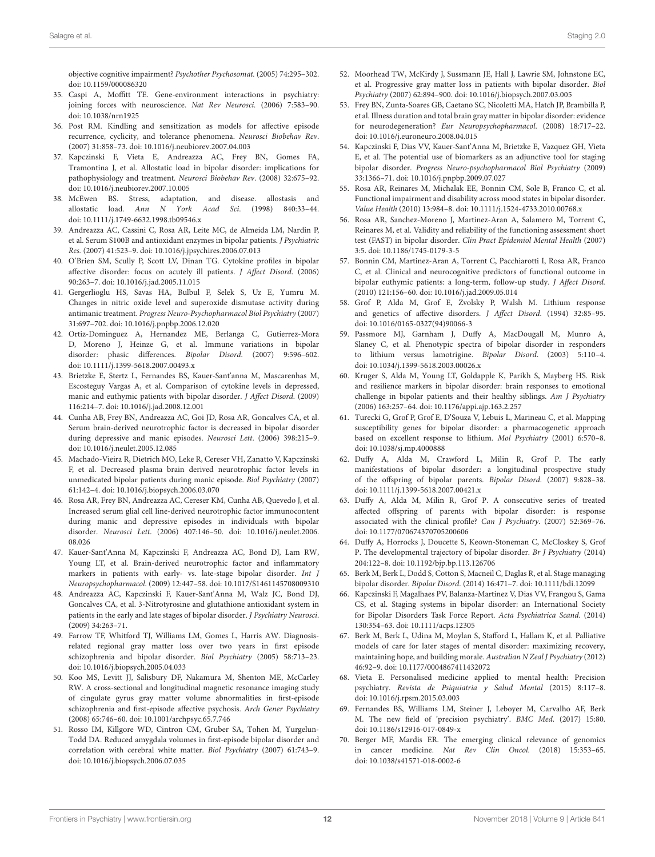objective cognitive impairment? Psychother Psychosomat. (2005) 74:295–302. doi: 10.1159/000086320

- 35. Caspi A, Moffitt TE. Gene-environment interactions in psychiatry: joining forces with neuroscience. Nat Rev Neurosci. (2006) 7:583–90. doi: 10.1038/nrn1925
- 36. Post RM. Kindling and sensitization as models for affective episode recurrence, cyclicity, and tolerance phenomena. Neurosci Biobehav Rev. (2007) 31:858–73. doi: 10.1016/j.neubiorev.2007.04.003
- 37. Kapczinski F, Vieta E, Andreazza AC, Frey BN, Gomes FA, Tramontina J, et al. Allostatic load in bipolar disorder: implications for pathophysiology and treatment. Neurosci Biobehav Rev. (2008) 32:675–92. doi: 10.1016/j.neubiorev.2007.10.005
- 38. McEwen BS. Stress, adaptation, and disease. allostasis and allostatic load. Ann N York Acad Sci. (1998) 840:33–44. doi: 10.1111/j.1749-6632.1998.tb09546.x
- 39. Andreazza AC, Cassini C, Rosa AR, Leite MC, de Almeida LM, Nardin P, et al. Serum S100B and antioxidant enzymes in bipolar patients. J Psychiatric Res. (2007) 41:523–9. doi: 10.1016/j.jpsychires.2006.07.013
- 40. O'Brien SM, Scully P, Scott LV, Dinan TG. Cytokine profiles in bipolar affective disorder: focus on acutely ill patients. J Affect Disord. (2006) 90:263–7. doi: 10.1016/j.jad.2005.11.015
- 41. Gergerlioglu HS, Savas HA, Bulbul F, Selek S, Uz E, Yumru M. Changes in nitric oxide level and superoxide dismutase activity during antimanic treatment. Progress Neuro-Psychopharmacol Biol Psychiatry (2007) 31:697–702. doi: 10.1016/j.pnpbp.2006.12.020
- 42. Ortiz-Dominguez A, Hernandez ME, Berlanga C, Gutierrez-Mora D, Moreno J, Heinze G, et al. Immune variations in bipolar disorder: phasic differences. Bipolar Disord. (2007) 9:596–602. doi: 10.1111/j.1399-5618.2007.00493.x
- 43. Brietzke E, Stertz L, Fernandes BS, Kauer-Sant'anna M, Mascarenhas M, Escosteguy Vargas A, et al. Comparison of cytokine levels in depressed, manic and euthymic patients with bipolar disorder. J Affect Disord. (2009) 116:214–7. doi: 10.1016/j.jad.2008.12.001
- 44. Cunha AB, Frey BN, Andreazza AC, Goi JD, Rosa AR, Goncalves CA, et al. Serum brain-derived neurotrophic factor is decreased in bipolar disorder during depressive and manic episodes. Neurosci Lett. (2006) 398:215–9. doi: 10.1016/j.neulet.2005.12.085
- 45. Machado-Vieira R, Dietrich MO, Leke R, Cereser VH, Zanatto V, Kapczinski F, et al. Decreased plasma brain derived neurotrophic factor levels in unmedicated bipolar patients during manic episode. Biol Psychiatry (2007) 61:142–4. doi: 10.1016/j.biopsych.2006.03.070
- 46. Rosa AR, Frey BN, Andreazza AC, Cereser KM, Cunha AB, Quevedo J, et al. Increased serum glial cell line-derived neurotrophic factor immunocontent during manic and depressive episodes in individuals with bipolar disorder. Neurosci Lett. (2006) 407:146–50. doi: 10.1016/j.neulet.2006. 08.026
- 47. Kauer-Sant'Anna M, Kapczinski F, Andreazza AC, Bond DJ, Lam RW, Young LT, et al. Brain-derived neurotrophic factor and inflammatory markers in patients with early- vs. late-stage bipolar disorder. Int J Neuropsychopharmacol. (2009) 12:447–58. doi: 10.1017/S1461145708009310
- 48. Andreazza AC, Kapczinski F, Kauer-Sant'Anna M, Walz JC, Bond DJ, Goncalves CA, et al. 3-Nitrotyrosine and glutathione antioxidant system in patients in the early and late stages of bipolar disorder. J Psychiatry Neurosci. (2009) 34:263–71.
- 49. Farrow TF, Whitford TJ, Williams LM, Gomes L, Harris AW. Diagnosisrelated regional gray matter loss over two years in first episode schizophrenia and bipolar disorder. Biol Psychiatry (2005) 58:713–23. doi: 10.1016/j.biopsych.2005.04.033
- 50. Koo MS, Levitt JJ, Salisbury DF, Nakamura M, Shenton ME, McCarley RW. A cross-sectional and longitudinal magnetic resonance imaging study of cingulate gyrus gray matter volume abnormalities in first-episode schizophrenia and first-episode affective psychosis. Arch Gener Psychiatry (2008) 65:746–60. doi: 10.1001/archpsyc.65.7.746
- 51. Rosso IM, Killgore WD, Cintron CM, Gruber SA, Tohen M, Yurgelun-Todd DA. Reduced amygdala volumes in first-episode bipolar disorder and correlation with cerebral white matter. Biol Psychiatry (2007) 61:743–9. doi: 10.1016/j.biopsych.2006.07.035
- 52. Moorhead TW, McKirdy J, Sussmann JE, Hall J, Lawrie SM, Johnstone EC, et al. Progressive gray matter loss in patients with bipolar disorder. Biol Psychiatry (2007) 62:894–900. doi: 10.1016/j.biopsych.2007.03.005
- 53. Frey BN, Zunta-Soares GB, Caetano SC, Nicoletti MA, Hatch JP, Brambilla P, et al. Illness duration and total brain gray matter in bipolar disorder: evidence for neurodegeneration? Eur Neuropsychopharmacol. (2008) 18:717–22. doi: 10.1016/j.euroneuro.2008.04.015
- 54. Kapczinski F, Dias VV, Kauer-Sant'Anna M, Brietzke E, Vazquez GH, Vieta E, et al. The potential use of biomarkers as an adjunctive tool for staging bipolar disorder. Progress Neuro-psychopharmacol Biol Psychiatry (2009) 33:1366–71. doi: 10.1016/j.pnpbp.2009.07.027
- 55. Rosa AR, Reinares M, Michalak EE, Bonnin CM, Sole B, Franco C, et al. Functional impairment and disability across mood states in bipolar disorder. Value Health (2010) 13:984–8. doi: 10.1111/j.1524-4733.2010.00768.x
- 56. Rosa AR, Sanchez-Moreno J, Martinez-Aran A, Salamero M, Torrent C, Reinares M, et al. Validity and reliability of the functioning assessment short test (FAST) in bipolar disorder. Clin Pract Epidemiol Mental Health (2007) 3:5. doi: 10.1186/1745-0179-3-5
- 57. Bonnin CM, Martinez-Aran A, Torrent C, Pacchiarotti I, Rosa AR, Franco C, et al. Clinical and neurocognitive predictors of functional outcome in bipolar euthymic patients: a long-term, follow-up study. J Affect Disord. (2010) 121:156–60. doi: 10.1016/j.jad.2009.05.014
- 58. Grof P, Alda M, Grof E, Zvolsky P, Walsh M. Lithium response and genetics of affective disorders. J Affect Disord. (1994) 32:85–95. doi: 10.1016/0165-0327(94)90066-3
- 59. Passmore MJ, Garnham J, Duffy A, MacDougall M, Munro A, Slaney C, et al. Phenotypic spectra of bipolar disorder in responders to lithium versus lamotrigine. Bipolar Disord. (2003) 5:110–4. doi: 10.1034/j.1399-5618.2003.00026.x
- 60. Kruger S, Alda M, Young LT, Goldapple K, Parikh S, Mayberg HS. Risk and resilience markers in bipolar disorder: brain responses to emotional challenge in bipolar patients and their healthy siblings. Am J Psychiatry (2006) 163:257–64. doi: 10.1176/appi.ajp.163.2.257
- 61. Turecki G, Grof P, Grof E, D'Souza V, Lebuis L, Marineau C, et al. Mapping susceptibility genes for bipolar disorder: a pharmacogenetic approach based on excellent response to lithium. Mol Psychiatry (2001) 6:570–8. doi: 10.1038/sj.mp.4000888
- 62. Duffy A, Alda M, Crawford L, Milin R, Grof P. The early manifestations of bipolar disorder: a longitudinal prospective study of the offspring of bipolar parents. Bipolar Disord. (2007) 9:828–38. doi: 10.1111/j.1399-5618.2007.00421.x
- 63. Duffy A, Alda M, Milin R, Grof P. A consecutive series of treated affected offspring of parents with bipolar disorder: is response associated with the clinical profile? Can J Psychiatry. (2007) 52:369–76. doi: 10.1177/070674370705200606
- 64. Duffy A, Horrocks J, Doucette S, Keown-Stoneman C, McCloskey S, Grof P. The developmental trajectory of bipolar disorder. Br J Psychiatry (2014) 204:122–8. doi: 10.1192/bjp.bp.113.126706
- 65. Berk M, Berk L, Dodd S, Cotton S, Macneil C, Daglas R, et al. Stage managing bipolar disorder. Bipolar Disord. (2014) 16:471–7. doi: 10.1111/bdi.12099
- 66. Kapczinski F, Magalhaes PV, Balanza-Martinez V, Dias VV, Frangou S, Gama CS, et al. Staging systems in bipolar disorder: an International Society for Bipolar Disorders Task Force Report. Acta Psychiatrica Scand. (2014) 130:354–63. doi: 10.1111/acps.12305
- 67. Berk M, Berk L, Udina M, Moylan S, Stafford L, Hallam K, et al. Palliative models of care for later stages of mental disorder: maximizing recovery, maintaining hope, and building morale. Australian N Zeal J Psychiatry (2012) 46:92–9. doi: 10.1177/0004867411432072
- 68. Vieta E. Personalised medicine applied to mental health: Precision psychiatry. Revista de Psiquiatria y Salud Mental (2015) 8:117–8. doi: 10.1016/j.rpsm.2015.03.003
- 69. Fernandes BS, Williams LM, Steiner J, Leboyer M, Carvalho AF, Berk M. The new field of 'precision psychiatry'. BMC Med. (2017) 15:80. doi: 10.1186/s12916-017-0849-x
- 70. Berger MF, Mardis ER. The emerging clinical relevance of genomics in cancer medicine. Nat Rev Clin Oncol. (2018) 15:353–65. doi: 10.1038/s41571-018-0002-6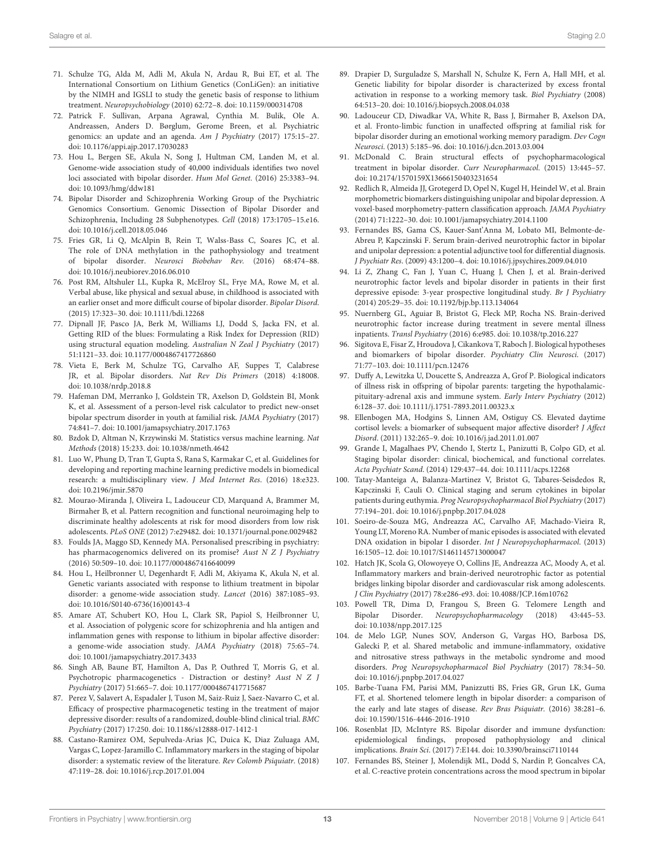- 71. Schulze TG, Alda M, Adli M, Akula N, Ardau R, Bui ET, et al. The International Consortium on Lithium Genetics (ConLiGen): an initiative by the NIMH and IGSLI to study the genetic basis of response to lithium treatment. Neuropsychobiology (2010) 62:72–8. doi: 10.1159/000314708
- 72. Patrick F. Sullivan, Arpana Agrawal, Cynthia M. Bulik, Ole A. Andreassen, Anders D. Børglum, Gerome Breen, et al. Psychiatric genomics: an update and an agenda. Am J Psychiatry (2017) 175:15–27. doi: 10.1176/appi.ajp.2017.17030283
- 73. Hou L, Bergen SE, Akula N, Song J, Hultman CM, Landen M, et al. Genome-wide association study of 40,000 individuals identifies two novel loci associated with bipolar disorder. Hum Mol Genet. (2016) 25:3383–94. doi: 10.1093/hmg/ddw181
- 74. Bipolar Disorder and Schizophrenia Working Group of the Psychiatric Genomics Consortium. Genomic Dissection of Bipolar Disorder and Schizophrenia, Including 28 Subphenotypes. Cell (2018) 173:1705–15.e16. doi: 10.1016/j.cell.2018.05.046
- 75. Fries GR, Li Q, McAlpin B, Rein T, Walss-Bass C, Soares JC, et al. The role of DNA methylation in the pathophysiology and treatment of bipolar disorder. Neurosci Biobehav Rev. (2016) 68:474–88. doi: 10.1016/j.neubiorev.2016.06.010
- 76. Post RM, Altshuler LL, Kupka R, McElroy SL, Frye MA, Rowe M, et al. Verbal abuse, like physical and sexual abuse, in childhood is associated with an earlier onset and more difficult course of bipolar disorder. Bipolar Disord. (2015) 17:323–30. doi: 10.1111/bdi.12268
- 77. Dipnall JF, Pasco JA, Berk M, Williams LJ, Dodd S, Jacka FN, et al. Getting RID of the blues: Formulating a Risk Index for Depression (RID) using structural equation modeling. Australian N Zeal J Psychiatry (2017) 51:1121–33. doi: 10.1177/0004867417726860
- 78. Vieta E, Berk M, Schulze TG, Carvalho AF, Suppes T, Calabrese JR, et al. Bipolar disorders. Nat Rev Dis Primers (2018) 4:18008. doi: 10.1038/nrdp.2018.8
- 79. Hafeman DM, Merranko J, Goldstein TR, Axelson D, Goldstein BI, Monk K, et al. Assessment of a person-level risk calculator to predict new-onset bipolar spectrum disorder in youth at familial risk. JAMA Psychiatry (2017) 74:841–7. doi: 10.1001/jamapsychiatry.2017.1763
- 80. Bzdok D, Altman N, Krzywinski M. Statistics versus machine learning. Nat Methods (2018) 15:233. doi: 10.1038/nmeth.4642
- 81. Luo W, Phung D, Tran T, Gupta S, Rana S, Karmakar C, et al. Guidelines for developing and reporting machine learning predictive models in biomedical research: a multidisciplinary view. J Med Internet Res. (2016) 18:e323. doi: 10.2196/jmir.5870
- 82. Mourao-Miranda J, Oliveira L, Ladouceur CD, Marquand A, Brammer M, Birmaher B, et al. Pattern recognition and functional neuroimaging help to discriminate healthy adolescents at risk for mood disorders from low risk adolescents. PLoS ONE (2012) 7:e29482. doi: 10.1371/journal.pone.0029482
- 83. Foulds JA, Maggo SD, Kennedy MA. Personalised prescribing in psychiatry: has pharmacogenomics delivered on its promise? Aust N Z J Psychiatry (2016) 50:509–10. doi: 10.1177/0004867416640099
- 84. Hou L, Heilbronner U, Degenhardt F, Adli M, Akiyama K, Akula N, et al. Genetic variants associated with response to lithium treatment in bipolar disorder: a genome-wide association study. Lancet (2016) 387:1085–93. doi: 10.1016/S0140-6736(16)00143-4
- 85. Amare AT, Schubert KO, Hou L, Clark SR, Papiol S, Heilbronner U, et al. Association of polygenic score for schizophrenia and hla antigen and inflammation genes with response to lithium in bipolar affective disorder: a genome-wide association study. JAMA Psychiatry (2018) 75:65–74. doi: 10.1001/jamapsychiatry.2017.3433
- 86. Singh AB, Baune BT, Hamilton A, Das P, Outhred T, Morris G, et al. Psychotropic pharmacogenetics - Distraction or destiny? Aust N Z J Psychiatry (2017) 51:665–7. doi: 10.1177/0004867417715687
- 87. Perez V, Salavert A, Espadaler J, Tuson M, Saiz-Ruiz J, Saez-Navarro C, et al. Efficacy of prospective pharmacogenetic testing in the treatment of major depressive disorder: results of a randomized, double-blind clinical trial. BMC Psychiatry (2017) 17:250. doi: 10.1186/s12888-017-1412-1
- 88. Castano-Ramirez OM, Sepulveda-Arias JC, Duica K, Diaz Zuluaga AM, Vargas C, Lopez-Jaramillo C. Inflammatory markers in the staging of bipolar disorder: a systematic review of the literature. Rev Colomb Psiquiatr. (2018) 47:119–28. doi: 10.1016/j.rcp.2017.01.004
- 89. Drapier D, Surguladze S, Marshall N, Schulze K, Fern A, Hall MH, et al. Genetic liability for bipolar disorder is characterized by excess frontal activation in response to a working memory task. Biol Psychiatry (2008) 64:513–20. doi: 10.1016/j.biopsych.2008.04.038
- 90. Ladouceur CD, Diwadkar VA, White R, Bass J, Birmaher B, Axelson DA, et al. Fronto-limbic function in unaffected offspring at familial risk for bipolar disorder during an emotional working memory paradigm. Dev Cogn Neurosci. (2013) 5:185–96. doi: 10.1016/j.dcn.2013.03.004
- 91. McDonald C. Brain structural effects of psychopharmacological treatment in bipolar disorder. Curr Neuropharmacol. (2015) 13:445–57. doi: 10.2174/1570159X13666150403231654
- 92. Redlich R, Almeida JJ, Grotegerd D, Opel N, Kugel H, Heindel W, et al. Brain morphometric biomarkers distinguishing unipolar and bipolar depression. A voxel-based morphometry-pattern classification approach. JAMA Psychiatry (2014) 71:1222–30. doi: 10.1001/jamapsychiatry.2014.1100
- 93. Fernandes BS, Gama CS, Kauer-Sant'Anna M, Lobato MI, Belmonte-de-Abreu P, Kapczinski F. Serum brain-derived neurotrophic factor in bipolar and unipolar depression: a potential adjunctive tool for differential diagnosis. J Psychiatr Res. (2009) 43:1200–4. doi: 10.1016/j.jpsychires.2009.04.010
- 94. Li Z, Zhang C, Fan J, Yuan C, Huang J, Chen J, et al. Brain-derived neurotrophic factor levels and bipolar disorder in patients in their first depressive episode: 3-year prospective longitudinal study. Br J Psychiatry (2014) 205:29–35. doi: 10.1192/bjp.bp.113.134064
- 95. Nuernberg GL, Aguiar B, Bristot G, Fleck MP, Rocha NS. Brain-derived neurotrophic factor increase during treatment in severe mental illness inpatients. Transl Psychiatry (2016) 6:e985. doi: 10.1038/tp.2016.227
- 96. Sigitova E, Fisar Z, Hroudova J, Cikankova T, Raboch J. Biological hypotheses and biomarkers of bipolar disorder. Psychiatry Clin Neurosci. (2017) 71:77–103. doi: 10.1111/pcn.12476
- 97. Duffy A, Lewitzka U, Doucette S, Andreazza A, Grof P. Biological indicators of illness risk in offspring of bipolar parents: targeting the hypothalamicpituitary-adrenal axis and immune system. Early Interv Psychiatry (2012) 6:128–37. doi: 10.1111/j.1751-7893.2011.00323.x
- 98. Ellenbogen MA, Hodgins S, Linnen AM, Ostiguy CS. Elevated daytime cortisol levels: a biomarker of subsequent major affective disorder? J Affect Disord. (2011) 132:265–9. doi: 10.1016/j.jad.2011.01.007
- 99. Grande I, Magalhaes PV, Chendo I, Stertz L, Panizutti B, Colpo GD, et al. Staging bipolar disorder: clinical, biochemical, and functional correlates. Acta Psychiatr Scand. (2014) 129:437–44. doi: 10.1111/acps.12268
- 100. Tatay-Manteiga A, Balanza-Martinez V, Bristot G, Tabares-Seisdedos R, Kapczinski F, Cauli O. Clinical staging and serum cytokines in bipolar patients during euthymia. Prog Neuropsychopharmacol Biol Psychiatry (2017) 77:194–201. doi: 10.1016/j.pnpbp.2017.04.028
- 101. Soeiro-de-Souza MG, Andreazza AC, Carvalho AF, Machado-Vieira R, Young LT, Moreno RA. Number of manic episodes is associated with elevated DNA oxidation in bipolar I disorder. Int J Neuropsychopharmacol. (2013) 16:1505–12. doi: 10.1017/S1461145713000047
- 102. Hatch JK, Scola G, Olowoyeye O, Collins JE, Andreazza AC, Moody A, et al. Inflammatory markers and brain-derived neurotrophic factor as potential bridges linking bipolar disorder and cardiovascular risk among adolescents. J Clin Psychiatry (2017) 78:e286-e93. doi: 10.4088/JCP.16m10762
- 103. Powell TR, Dima D, Frangou S, Breen G. Telomere Length and Bipolar Disorder. Neuropsychopharmacology (2018) 43:445–53. doi: 10.1038/npp.2017.125
- 104. de Melo LGP, Nunes SOV, Anderson G, Vargas HO, Barbosa DS, Galecki P, et al. Shared metabolic and immune-inflammatory, oxidative and nitrosative stress pathways in the metabolic syndrome and mood disorders. Prog Neuropsychopharmacol Biol Psychiatry (2017) 78:34–50. doi: 10.1016/j.pnpbp.2017.04.027
- 105. Barbe-Tuana FM, Parisi MM, Panizzutti BS, Fries GR, Grun LK, Guma FT, et al. Shortened telomere length in bipolar disorder: a comparison of the early and late stages of disease. Rev Bras Psiquiatr. (2016) 38:281–6. doi: 10.1590/1516-4446-2016-1910
- 106. Rosenblat JD, McIntyre RS. Bipolar disorder and immune dysfunction: epidemiological findings, proposed pathophysiology and clinical implications. Brain Sci. (2017) 7:E144. doi: 10.3390/brainsci7110144
- 107. Fernandes BS, Steiner J, Molendijk ML, Dodd S, Nardin P, Goncalves CA, et al. C-reactive protein concentrations across the mood spectrum in bipolar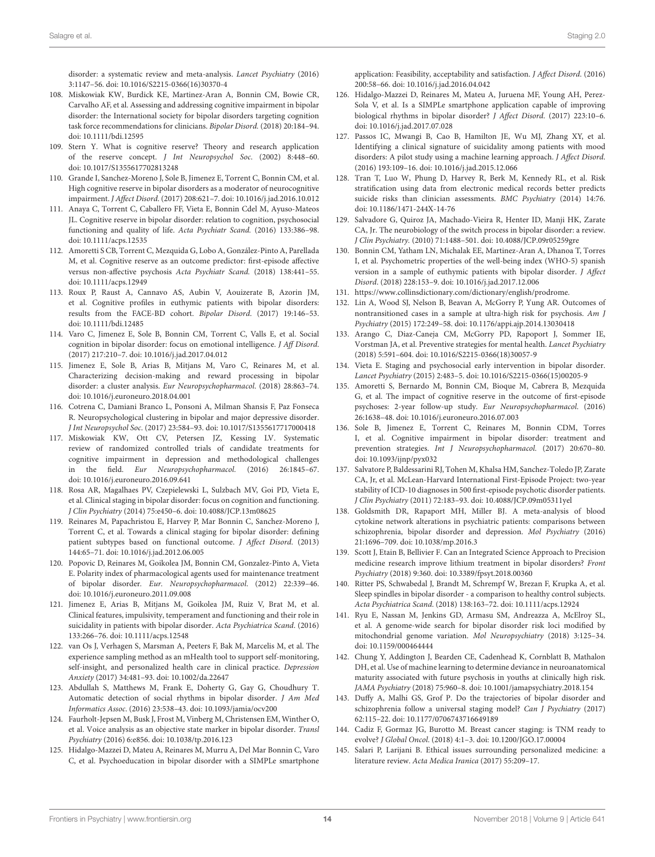disorder: a systematic review and meta-analysis. Lancet Psychiatry (2016) 3:1147–56. doi: 10.1016/S2215-0366(16)30370-4

- 108. Miskowiak KW, Burdick KE, Martinez-Aran A, Bonnin CM, Bowie CR, Carvalho AF, et al. Assessing and addressing cognitive impairment in bipolar disorder: the International society for bipolar disorders targeting cognition task force recommendations for clinicians. Bipolar Disord. (2018) 20:184–94. doi: 10.1111/bdi.12595
- 109. Stern Y. What is cognitive reserve? Theory and research application of the reserve concept. J Int Neuropsychol Soc. (2002) 8:448–60. doi: 10.1017/S1355617702813248
- 110. Grande I, Sanchez-Moreno J, Sole B, Jimenez E, Torrent C, Bonnin CM, et al. High cognitive reserve in bipolar disorders as a moderator of neurocognitive impairment. J Affect Disord. (2017) 208:621–7. doi: 10.1016/j.jad.2016.10.012
- 111. Anaya C, Torrent C, Caballero FF, Vieta E, Bonnin Cdel M, Ayuso-Mateos JL. Cognitive reserve in bipolar disorder: relation to cognition, psychosocial functioning and quality of life. Acta Psychiatr Scand. (2016) 133:386–98. doi: 10.1111/acps.12535
- 112. Amoretti S CB, Torrent C, Mezquida G, Lobo A, González-Pinto A, Parellada M, et al. Cognitive reserve as an outcome predictor: first-episode affective versus non-affective psychosis Acta Psychiatr Scand. (2018) 138:441–55. doi: 10.1111/acps.12949
- 113. Roux P, Raust A, Cannavo AS, Aubin V, Aouizerate B, Azorin JM, et al. Cognitive profiles in euthymic patients with bipolar disorders: results from the FACE-BD cohort. Bipolar Disord. (2017) 19:146–53. doi: 10.1111/bdi.12485
- 114. Varo C, Jimenez E, Sole B, Bonnin CM, Torrent C, Valls E, et al. Social cognition in bipolar disorder: focus on emotional intelligence. J Aff Disord. (2017) 217:210–7. doi: 10.1016/j.jad.2017.04.012
- 115. Jimenez E, Sole B, Arias B, Mitjans M, Varo C, Reinares M, et al. Characterizing decision-making and reward processing in bipolar disorder: a cluster analysis. Eur Neuropsychopharmacol. (2018) 28:863–74. doi: 10.1016/j.euroneuro.2018.04.001
- 116. Cotrena C, Damiani Branco L, Ponsoni A, Milman Shansis F, Paz Fonseca R. Neuropsychological clustering in bipolar and major depressive disorder. J Int Neuropsychol Soc. (2017) 23:584–93. doi: 10.1017/S1355617717000418
- 117. Miskowiak KW, Ott CV, Petersen JZ, Kessing LV. Systematic review of randomized controlled trials of candidate treatments for cognitive impairment in depression and methodological challenges in the field. Eur Neuropsychopharmacol. (2016) 26:1845–67. doi: 10.1016/j.euroneuro.2016.09.641
- 118. Rosa AR, Magalhaes PV, Czepielewski L, Sulzbach MV, Goi PD, Vieta E, et al. Clinical staging in bipolar disorder: focus on cognition and functioning. J Clin Psychiatry (2014) 75:e450–6. doi: 10.4088/JCP.13m08625
- 119. Reinares M, Papachristou E, Harvey P, Mar Bonnin C, Sanchez-Moreno J, Torrent C, et al. Towards a clinical staging for bipolar disorder: defining patient subtypes based on functional outcome. J Affect Disord. (2013) 144:65–71. doi: 10.1016/j.jad.2012.06.005
- 120. Popovic D, Reinares M, Goikolea JM, Bonnin CM, Gonzalez-Pinto A, Vieta E. Polarity index of pharmacological agents used for maintenance treatment of bipolar disorder. Eur. Neuropsychopharmacol. (2012) 22:339–46. doi: 10.1016/j.euroneuro.2011.09.008
- 121. Jimenez E, Arias B, Mitjans M, Goikolea JM, Ruiz V, Brat M, et al. Clinical features, impulsivity, temperament and functioning and their role in suicidality in patients with bipolar disorder. Acta Psychiatrica Scand. (2016) 133:266–76. doi: 10.1111/acps.12548
- 122. van Os J, Verhagen S, Marsman A, Peeters F, Bak M, Marcelis M, et al. The experience sampling method as an mHealth tool to support self-monitoring, self-insight, and personalized health care in clinical practice. Depression Anxiety (2017) 34:481–93. doi: 10.1002/da.22647
- 123. Abdullah S, Matthews M, Frank E, Doherty G, Gay G, Choudhury T. Automatic detection of social rhythms in bipolar disorder. J Am Med Informatics Assoc. (2016) 23:538–43. doi: 10.1093/jamia/ocv200
- 124. Faurholt-Jepsen M, Busk J, Frost M, Vinberg M, Christensen EM, Winther O, et al. Voice analysis as an objective state marker in bipolar disorder. Transl Psychiatry (2016) 6:e856. doi: 10.1038/tp.2016.123
- 125. Hidalgo-Mazzei D, Mateu A, Reinares M, Murru A, Del Mar Bonnin C, Varo C, et al. Psychoeducation in bipolar disorder with a SIMPLe smartphone

application: Feasibility, acceptability and satisfaction. J Affect Disord. (2016) 200:58–66. doi: 10.1016/j.jad.2016.04.042

- 126. Hidalgo-Mazzei D, Reinares M, Mateu A, Juruena MF, Young AH, Perez-Sola V, et al. Is a SIMPLe smartphone application capable of improving biological rhythms in bipolar disorder? J Affect Disord. (2017) 223:10–6. doi: 10.1016/j.jad.2017.07.028
- 127. Passos IC, Mwangi B, Cao B, Hamilton JE, Wu MJ, Zhang XY, et al. Identifying a clinical signature of suicidality among patients with mood disorders: A pilot study using a machine learning approach. J Affect Disord. (2016) 193:109–16. doi: 10.1016/j.jad.2015.12.066
- 128. Tran T, Luo W, Phung D, Harvey R, Berk M, Kennedy RL, et al. Risk stratification using data from electronic medical records better predicts suicide risks than clinician assessments. BMC Psychiatry (2014) 14:76. doi: 10.1186/1471-244X-14-76
- 129. Salvadore G, Quiroz JA, Machado-Vieira R, Henter ID, Manji HK, Zarate CA, Jr. The neurobiology of the switch process in bipolar disorder: a review. J Clin Psychiatry. (2010) 71:1488–501. doi: 10.4088/JCP.09r05259gre
- 130. Bonnin CM, Yatham LN, Michalak EE, Martinez-Aran A, Dhanoa T, Torres I, et al. Psychometric properties of the well-being index (WHO-5) spanish version in a sample of euthymic patients with bipolar disorder. J Affect Disord. (2018) 228:153–9. doi: 10.1016/j.jad.2017.12.006
- 131. https://www.collinsdictionary.com/dictionary/english/prodrome.
- 132. Lin A, Wood SJ, Nelson B, Beavan A, McGorry P, Yung AR. Outcomes of nontransitioned cases in a sample at ultra-high risk for psychosis. Am J Psychiatry (2015) 172:249–58. doi: 10.1176/appi.ajp.2014.13030418
- 133. Arango C, Diaz-Caneja CM, McGorry PD, Rapoport J, Sommer IE, Vorstman JA, et al. Preventive strategies for mental health. Lancet Psychiatry (2018) 5:591–604. doi: 10.1016/S2215-0366(18)30057-9
- 134. Vieta E. Staging and psychosocial early intervention in bipolar disorder. Lancet Psychiatry (2015) 2:483–5. doi: 10.1016/S2215-0366(15)00205-9
- 135. Amoretti S, Bernardo M, Bonnin CM, Bioque M, Cabrera B, Mezquida G, et al. The impact of cognitive reserve in the outcome of first-episode psychoses: 2-year follow-up study. Eur Neuropsychopharmacol. (2016) 26:1638–48. doi: 10.1016/j.euroneuro.2016.07.003
- 136. Sole B, Jimenez E, Torrent C, Reinares M, Bonnin CDM, Torres I, et al. Cognitive impairment in bipolar disorder: treatment and prevention strategies. Int J Neuropsychopharmacol. (2017) 20:670–80. doi: 10.1093/ijnp/pyx032
- 137. Salvatore P, Baldessarini RJ, Tohen M, Khalsa HM, Sanchez-Toledo JP, Zarate CA, Jr, et al. McLean-Harvard International First-Episode Project: two-year stability of ICD-10 diagnoses in 500 first-episode psychotic disorder patients. J Clin Psychiatry (2011) 72:183–93. doi: 10.4088/JCP.09m05311yel
- 138. Goldsmith DR, Rapaport MH, Miller BJ. A meta-analysis of blood cytokine network alterations in psychiatric patients: comparisons between schizophrenia, bipolar disorder and depression. Mol Psychiatry (2016) 21:1696–709. doi: 10.1038/mp.2016.3
- 139. Scott J, Etain B, Bellivier F. Can an Integrated Science Approach to Precision medicine research improve lithium treatment in bipolar disorders? Front Psychiatry (2018) 9:360. doi: 10.3389/fpsyt.2018.00360
- 140. Ritter PS, Schwabedal J, Brandt M, Schrempf W, Brezan F, Krupka A, et al. Sleep spindles in bipolar disorder - a comparison to healthy control subjects. Acta Psychiatrica Scand. (2018) 138:163–72. doi: 10.1111/acps.12924
- 141. Ryu E, Nassan M, Jenkins GD, Armasu SM, Andreazza A, McElroy SL, et al. A genome-wide search for bipolar disorder risk loci modified by mitochondrial genome variation. Mol Neuropsychiatry (2018) 3:125–34. doi: 10.1159/000464444
- 142. Chung Y, Addington J, Bearden CE, Cadenhead K, Cornblatt B, Mathalon DH, et al. Use of machine learning to determine deviance in neuroanatomical maturity associated with future psychosis in youths at clinically high risk. JAMA Psychiatry (2018) 75:960–8. doi: 10.1001/jamapsychiatry.2018.154
- 143. Duffy A, Malhi GS, Grof P. Do the trajectories of bipolar disorder and schizophrenia follow a universal staging model? Can J Psychiatry (2017) 62:115–22. doi: 10.1177/0706743716649189
- 144. Cadiz F, Gormaz JG, Burotto M. Breast cancer staging: is TNM ready to evolve? J Global Oncol. (2018) 4:1–3. doi: 10.1200/JGO.17.00004
- 145. Salari P, Larijani B. Ethical issues surrounding personalized medicine: a literature review. Acta Medica Iranica (2017) 55:209–17.